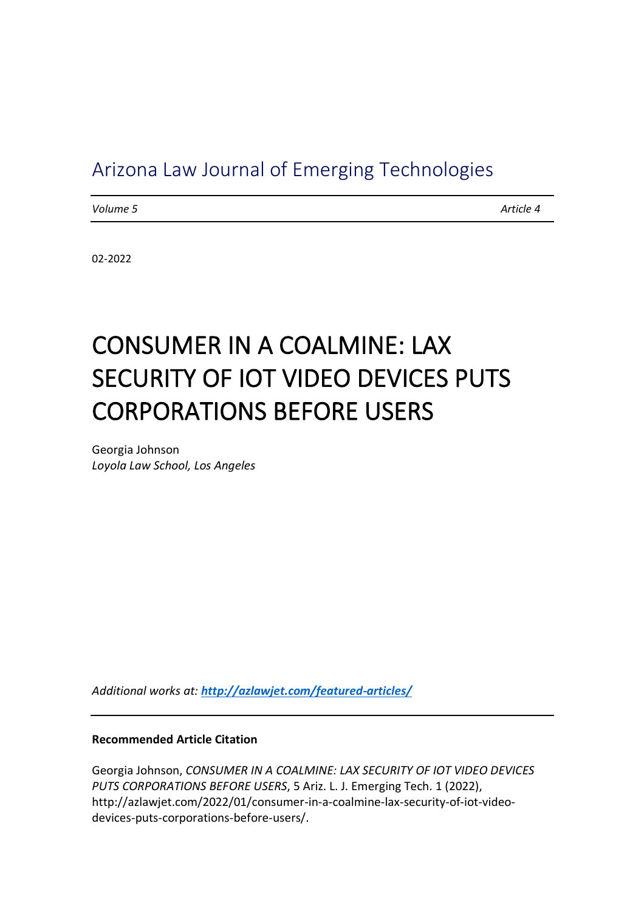# Arizona Law Journal of Emerging Technologies

*Volume 5 Article 4*

02-2022

# CONSUMER IN A COALMINE: LAX SECURITY OF IOT VIDEO DEVICES PUTS CORPORATIONS BEFORE USERS

Georgia Johnson *Loyola Law School, Los Angeles* 

*Additional works at: <http://azlawjet.com/featured-articles/>*

#### **Recommended Article Citation**

Georgia Johnson, *CONSUMER IN A COALMINE: LAX SECURITY OF IOT VIDEO DEVICES PUTS CORPORATIONS BEFORE USERS*, 5 Ariz. L. J. Emerging Tech. 1 (2022), http://azlawjet.com/2022/01/consumer-in-a-coalmine-lax-security-of-iot-videodevices-puts-corporations-before-users/.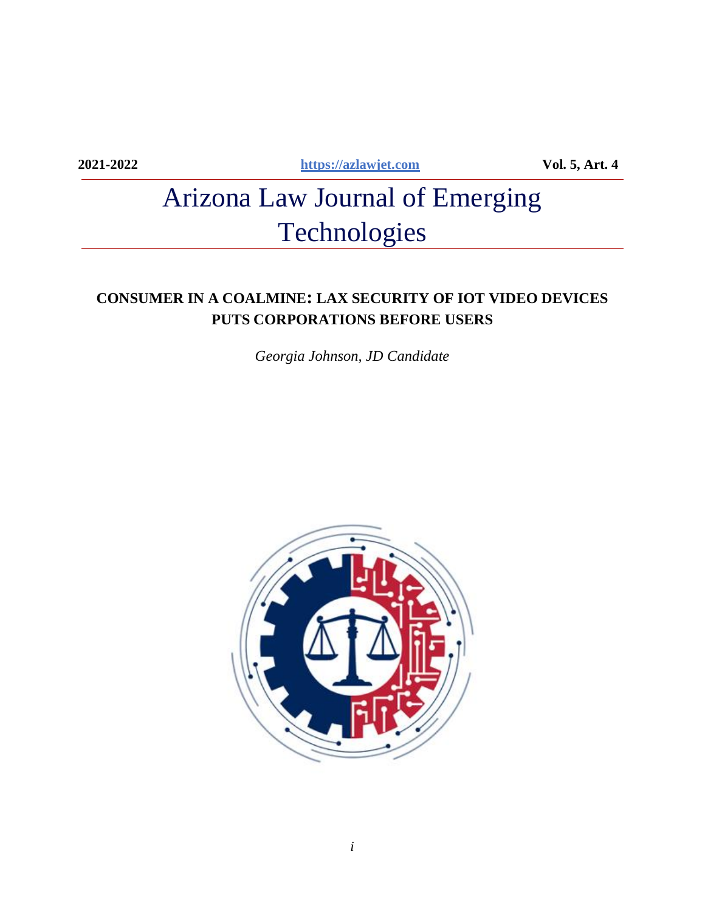**2021-2022 [https://azlawjet.com](https://azlawjet.com/) Vol. 5, Art. 4**

# Arizona Law Journal of Emerging Technologies

#### **CONSUMER IN A COALMINE: LAX SECURITY OF IOT VIDEO DEVICES PUTS CORPORATIONS BEFORE USERS**

*Georgia Johnson, JD Candidate*

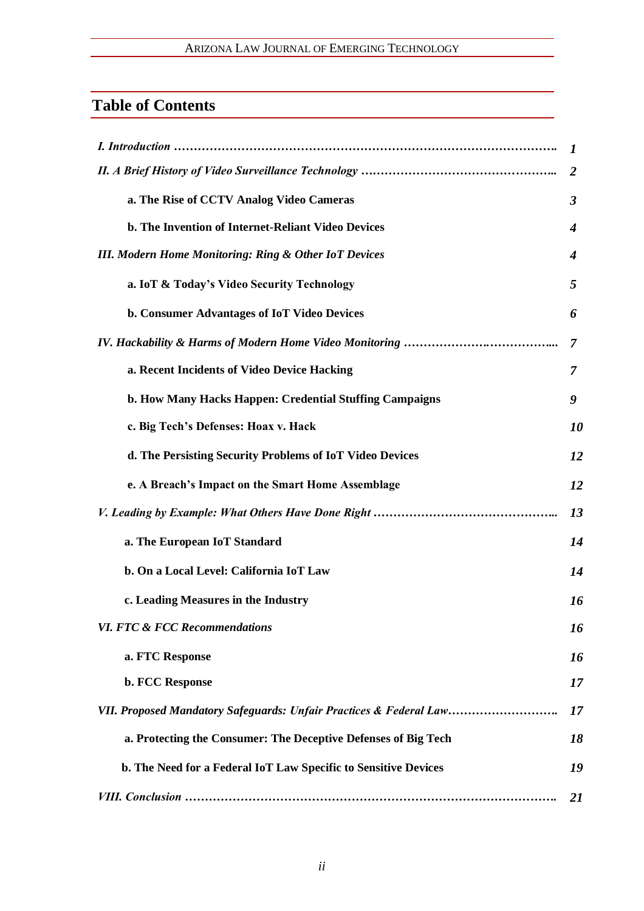#### ARIZONA LAW JOURNAL OF EMERGING TECHNOLOGY

# **Table of Contents**

|                                                                    | $\prime$       |
|--------------------------------------------------------------------|----------------|
|                                                                    | $\overline{2}$ |
| a. The Rise of CCTV Analog Video Cameras                           | $\mathfrak{Z}$ |
| b. The Invention of Internet-Reliant Video Devices                 | 4              |
| <b>III. Modern Home Monitoring: Ring &amp; Other IoT Devices</b>   | 4              |
| a. IoT & Today's Video Security Technology                         | 5              |
| <b>b. Consumer Advantages of IoT Video Devices</b>                 | 6              |
|                                                                    | 7              |
| a. Recent Incidents of Video Device Hacking                        | 7              |
| b. How Many Hacks Happen: Credential Stuffing Campaigns            | 9              |
| c. Big Tech's Defenses: Hoax v. Hack                               | 10             |
| d. The Persisting Security Problems of IoT Video Devices           | 12             |
| e. A Breach's Impact on the Smart Home Assemblage                  | 12             |
|                                                                    | 13             |
| a. The European IoT Standard                                       | 14             |
| b. On a Local Level: California IoT Law                            | 14             |
| c. Leading Measures in the Industry                                | 16             |
| <b>VI. FTC &amp; FCC Recommendations</b>                           | 16             |
| a. FTC Response                                                    | 16             |
| <b>b. FCC Response</b>                                             | 17             |
| VII. Proposed Mandatory Safeguards: Unfair Practices & Federal Law | 17             |
| a. Protecting the Consumer: The Deceptive Defenses of Big Tech     | 18             |
| b. The Need for a Federal IoT Law Specific to Sensitive Devices    | 19             |
|                                                                    | 21             |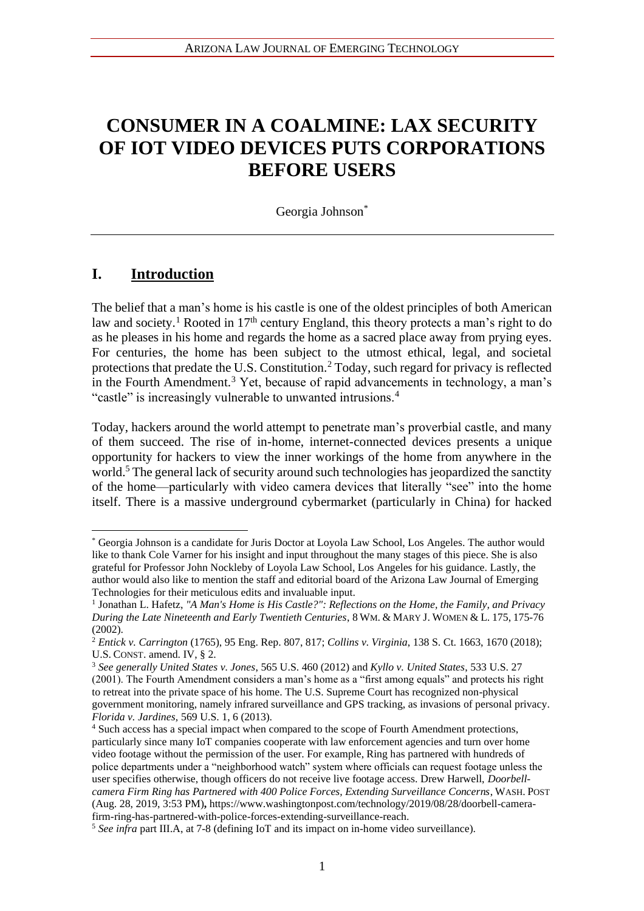# **CONSUMER IN A COALMINE: LAX SECURITY OF IOT VIDEO DEVICES PUTS CORPORATIONS BEFORE USERS**

Georgia Johnson\*

#### **I. Introduction**

The belief that a man's home is his castle is one of the oldest principles of both American law and society.<sup>1</sup> Rooted in 17<sup>th</sup> century England, this theory protects a man's right to do as he pleases in his home and regards the home as a sacred place away from prying eyes. For centuries, the home has been subject to the utmost ethical, legal, and societal protections that predate the U.S. Constitution.<sup>2</sup> Today, such regard for privacy is reflected in the Fourth Amendment.<sup>3</sup> Yet, because of rapid advancements in technology, a man's "castle" is increasingly vulnerable to unwanted intrusions.<sup>4</sup>

Today, hackers around the world attempt to penetrate man's proverbial castle, and many of them succeed. The rise of in-home, internet-connected devices presents a unique opportunity for hackers to view the inner workings of the home from anywhere in the world.<sup>5</sup> The general lack of security around such technologies has jeopardized the sanctity of the home—particularly with video camera devices that literally "see" into the home itself. There is a massive underground cybermarket (particularly in China) for hacked

<sup>\*</sup> Georgia Johnson is a candidate for Juris Doctor at Loyola Law School, Los Angeles. The author would like to thank Cole Varner for his insight and input throughout the many stages of this piece. She is also grateful for Professor John Nockleby of Loyola Law School, Los Angeles for his guidance. Lastly, the author would also like to mention the staff and editorial board of the Arizona Law Journal of Emerging Technologies for their meticulous edits and invaluable input.

<sup>&</sup>lt;sup>1</sup> Jonathan L. Hafetz, "A Man's Home is His Castle?": Reflections on the Home, the Family, and Privacy *During the Late Nineteenth and Early Twentieth Centuries*, 8 WM. & MARY J. WOMEN & L. 175, 175-76 (2002).

<sup>2</sup> *Entick v. Carrington* (1765), 95 Eng. Rep. 807, 817; *Collins v. Virginia*, 138 S. Ct. 1663, 1670 (2018); U.S. CONST. amend. IV, § 2.

<sup>3</sup> *See generally United States v. Jones*, 565 U.S. 460 (2012) and *Kyllo v. United States*, 533 U.S. 27 (2001). The Fourth Amendment considers a man's home as a "first among equals" and protects his right to retreat into the private space of his home. The U.S. Supreme Court has recognized non-physical government monitoring, namely infrared surveillance and GPS tracking, as invasions of personal privacy. *Florida v. Jardines,* 569 U.S. 1, 6 (2013).

<sup>4</sup> Such access has a special impact when compared to the scope of Fourth Amendment protections, particularly since many IoT companies cooperate with law enforcement agencies and turn over home video footage without the permission of the user. For example, Ring has partnered with hundreds of police departments under a "neighborhood watch" system where officials can request footage unless the user specifies otherwise, though officers do not receive live footage access. Drew Harwell, *Doorbellcamera Firm Ring has Partnered with 400 Police Forces, Extending Surveillance Concerns*, WASH.POST (Aug. 28, 2019, 3:53 PM)**,** https://www.washingtonpost.com/technology/2019/08/28/doorbell-camerafirm-ring-has-partnered-with-police-forces-extending-surveillance-reach.

<sup>5</sup> *See infra* part III.A, at 7-8 (defining IoT and its impact on in-home video surveillance).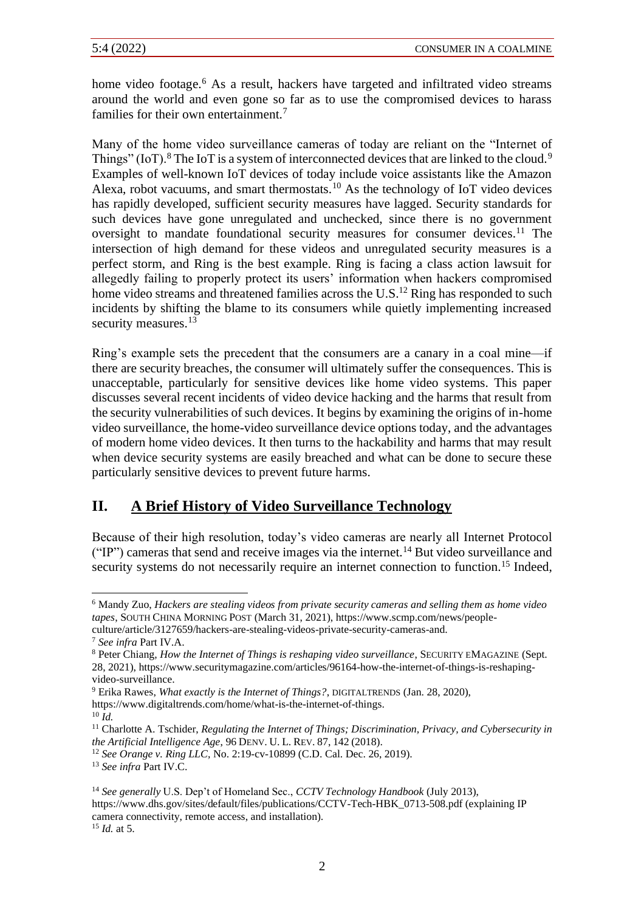home video footage.<sup>6</sup> As a result, hackers have targeted and infiltrated video streams around the world and even gone so far as to use the compromised devices to harass families for their own entertainment.<sup>7</sup>

Many of the home video surveillance cameras of today are reliant on the "Internet of Things" (IoT).<sup>8</sup> The IoT is a system of interconnected devices that are linked to the cloud.<sup>9</sup> Examples of well-known IoT devices of today include voice assistants like the Amazon Alexa, robot vacuums, and smart thermostats.<sup>10</sup> As the technology of IoT video devices has rapidly developed, sufficient security measures have lagged. Security standards for such devices have gone unregulated and unchecked, since there is no government oversight to mandate foundational security measures for consumer devices.<sup>11</sup> The intersection of high demand for these videos and unregulated security measures is a perfect storm, and Ring is the best example. Ring is facing a class action lawsuit for allegedly failing to properly protect its users' information when hackers compromised home video streams and threatened families across the U.S.<sup>12</sup> Ring has responded to such incidents by shifting the blame to its consumers while quietly implementing increased security measures.<sup>13</sup>

Ring's example sets the precedent that the consumers are a canary in a coal mine—if there are security breaches, the consumer will ultimately suffer the consequences. This is unacceptable, particularly for sensitive devices like home video systems. This paper discusses several recent incidents of video device hacking and the harms that result from the security vulnerabilities of such devices. It begins by examining the origins of in-home video surveillance, the home-video surveillance device options today, and the advantages of modern home video devices. It then turns to the hackability and harms that may result when device security systems are easily breached and what can be done to secure these particularly sensitive devices to prevent future harms.

## **II. A Brief History of Video Surveillance Technology**

Because of their high resolution, today's video cameras are nearly all Internet Protocol ("IP") cameras that send and receive images via the internet.<sup>14</sup> But video surveillance and security systems do not necessarily require an internet connection to function.<sup>15</sup> Indeed,

<sup>6</sup> Mandy Zuo, *Hackers are stealing videos from private security cameras and selling them as home video tapes*, SOUTH CHINA MORNING POST (March 31, 2021), https://www.scmp.com/news/people-

culture/article/3127659/hackers-are-stealing-videos-private-security-cameras-and.

<sup>7</sup> *See infra* Part IV.A.

<sup>8</sup> Peter Chiang, *How the Internet of Things is reshaping video surveillance*, SECURITY EMAGAZINE (Sept. 28, 2021), https://www.securitymagazine.com/articles/96164-how-the-internet-of-things-is-reshapingvideo-surveillance.

<sup>9</sup> Erika Rawes, *What exactly is the Internet of Things?*, DIGITALTRENDS (Jan. 28, 2020),

https://www.digitaltrends.com/home/what-is-the-internet-of-things.

 $10 \, Id.$ 

<sup>&</sup>lt;sup>11</sup> Charlotte A. Tschider, *Regulating the Internet of Things; Discrimination, Privacy, and Cybersecurity in the Artificial Intelligence Age*, 96 DENV. U. L. REV. 87, 142 (2018).

<sup>12</sup> *See Orange v. Ring LLC,* No. 2:19-cv-10899 (C.D. Cal. Dec. 26, 2019).

<sup>13</sup> *See infra* Part IV.C.

<sup>14</sup> *See generally* U.S. Dep't of Homeland Sec., *CCTV Technology Handbook* (July 2013), https://www.dhs.gov/sites/default/files/publications/CCTV-Tech-HBK\_0713-508.pdf (explaining IP camera connectivity, remote access, and installation). <sup>15</sup> *Id.* at 5.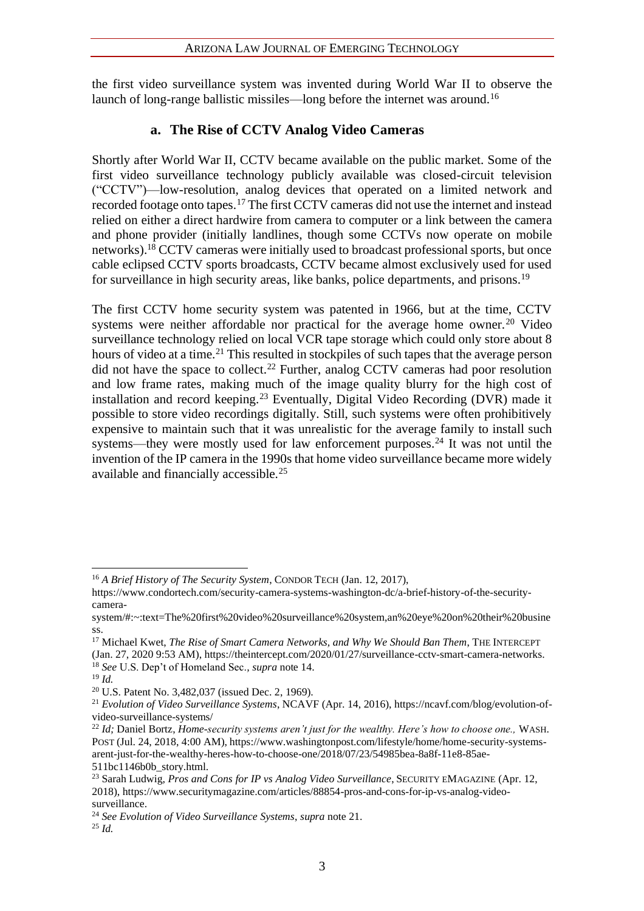the first video surveillance system was invented during World War II to observe the launch of long-range ballistic missiles—long before the internet was around.<sup>16</sup>

#### **a. The Rise of CCTV Analog Video Cameras**

Shortly after World War II, CCTV became available on the public market. Some of the first video surveillance technology publicly available was closed-circuit television ("CCTV")—low-resolution, analog devices that operated on a limited network and recorded footage onto tapes.<sup>17</sup> The first CCTV cameras did not use the internet and instead relied on either a direct hardwire from camera to computer or a link between the camera and phone provider (initially landlines, though some CCTVs now operate on mobile networks). <sup>18</sup> CCTV cameras were initially used to broadcast professional sports, but once cable eclipsed CCTV sports broadcasts, CCTV became almost exclusively used for used for surveillance in high security areas, like banks, police departments, and prisons.<sup>19</sup>

The first CCTV home security system was patented in 1966, but at the time, CCTV systems were neither affordable nor practical for the average home owner.<sup>20</sup> Video surveillance technology relied on local VCR tape storage which could only store about 8 hours of video at a time.<sup>21</sup> This resulted in stockpiles of such tapes that the average person did not have the space to collect. <sup>22</sup> Further, analog CCTV cameras had poor resolution and low frame rates, making much of the image quality blurry for the high cost of installation and record keeping.<sup>23</sup> Eventually, Digital Video Recording (DVR) made it possible to store video recordings digitally. Still, such systems were often prohibitively expensive to maintain such that it was unrealistic for the average family to install such systems—they were mostly used for law enforcement purposes.<sup>24</sup> It was not until the invention of the IP camera in the 1990s that home video surveillance became more widely available and financially accessible.<sup>25</sup>

<sup>16</sup> *A Brief History of The Security System*, CONDOR TECH (Jan. 12, 2017),

https://www.condortech.com/security-camera-systems-washington-dc/a-brief-history-of-the-securitycamera-

system/#:~:text=The%20first%20video%20surveillance%20system,an%20eye%20on%20their%20busine ss.

<sup>17</sup> Michael Kwet, *The Rise of Smart Camera Networks, and Why We Should Ban Them*, THE INTERCEPT (Jan. 27, 2020 9:53 AM), https://theintercept.com/2020/01/27/surveillance-cctv-smart-camera-networks. <sup>18</sup> *See* U.S. Dep't of Homeland Sec.*, supra* note 14.

<sup>19</sup> *Id.* 

<sup>20</sup> U.S. Patent No. 3,482,037 (issued Dec. 2, 1969).

<sup>21</sup> *Evolution of Video Surveillance Systems*, NCAVF (Apr. 14, 2016), https://ncavf.com/blog/evolution-ofvideo-surveillance-systems/

<sup>22</sup> *Id;* Daniel Bortz, *Home-security systems aren't just for the wealthy. Here's how to choose one.,* WASH. POST (Jul. 24, 2018, 4:00 AM), https://www.washingtonpost.com/lifestyle/home/home-security-systemsarent-just-for-the-wealthy-heres-how-to-choose-one/2018/07/23/54985bea-8a8f-11e8-85ae-511bc1146b0b\_story.html.

<sup>&</sup>lt;sup>23</sup> Sarah Ludwig, *Pros and Cons for IP vs Analog Video Surveillance*, SECURITY EMAGAZINE (Apr. 12, 2018), https://www.securitymagazine.com/articles/88854-pros-and-cons-for-ip-vs-analog-videosurveillance.

<sup>24</sup> *See Evolution of Video Surveillance Systems*, *supra* note 21. <sup>25</sup> *Id.*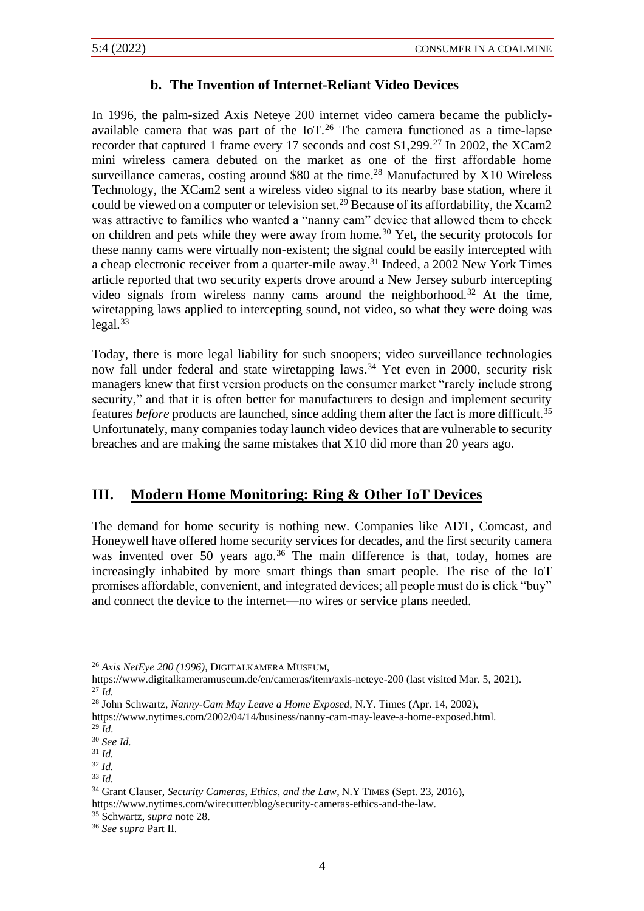#### **b. The Invention of Internet-Reliant Video Devices**

In 1996, the palm-sized Axis Neteye 200 internet video camera became the publiclyavailable camera that was part of the  $IoT<sup>26</sup>$  The camera functioned as a time-lapse recorder that captured 1 frame every 17 seconds and cost \$1,299.<sup>27</sup> In 2002, the XCam2 mini wireless camera debuted on the market as one of the first affordable home surveillance cameras, costing around \$80 at the time.<sup>28</sup> Manufactured by X10 Wireless Technology, the XCam2 sent a wireless video signal to its nearby base station, where it could be viewed on a computer or television set.<sup>29</sup> Because of its affordability, the Xcam2 was attractive to families who wanted a "nanny cam" device that allowed them to check on children and pets while they were away from home.<sup>30</sup> Yet, the security protocols for these nanny cams were virtually non-existent; the signal could be easily intercepted with a cheap electronic receiver from a quarter-mile away.<sup>31</sup> Indeed, a 2002 New York Times article reported that two security experts drove around a New Jersey suburb intercepting video signals from wireless nanny cams around the neighborhood.<sup>32</sup> At the time, wiretapping laws applied to intercepting sound, not video, so what they were doing was  $legal.<sup>33</sup>$ 

Today, there is more legal liability for such snoopers; video surveillance technologies now fall under federal and state wiretapping laws. <sup>34</sup> Yet even in 2000, security risk managers knew that first version products on the consumer market "rarely include strong security," and that it is often better for manufacturers to design and implement security features *before* products are launched, since adding them after the fact is more difficult.<sup>35</sup> Unfortunately, many companies today launch video devices that are vulnerable to security breaches and are making the same mistakes that X10 did more than 20 years ago.

#### **III. Modern Home Monitoring: Ring & Other IoT Devices**

The demand for home security is nothing new. Companies like ADT, Comcast, and Honeywell have offered home security services for decades, and the first security camera was invented over 50 years ago.<sup>36</sup> The main difference is that, today, homes are increasingly inhabited by more smart things than smart people. The rise of the IoT promises affordable, convenient, and integrated devices; all people must do is click "buy" and connect the device to the internet—no wires or service plans needed.

<sup>35</sup> Schwartz, *supra* note 28.

<sup>26</sup> *Axis NetEye 200 (1996)*, DIGITALKAMERA MUSEUM,

https://www.digitalkameramuseum.de/en/cameras/item/axis-neteye-200 (last visited Mar. 5, 2021). <sup>27</sup> *Id.*

<sup>28</sup> John Schwartz, *Nanny-Cam May Leave a Home Exposed,* N.Y. Times (Apr. 14, 2002),

https://www.nytimes.com/2002/04/14/business/nanny-cam-may-leave-a-home-exposed.html.

 $^{29}$  *Id.* 

<sup>30</sup> *See Id.*

<sup>31</sup> *Id.* 

<sup>32</sup> *Id.*

<sup>33</sup> *Id.*

<sup>34</sup> Grant Clauser, *Security Cameras, Ethics, and the Law*, N.Y TIMES (Sept. 23, 2016), https://www.nytimes.com/wirecutter/blog/security-cameras-ethics-and-the-law.

<sup>36</sup> *See supra* Part II.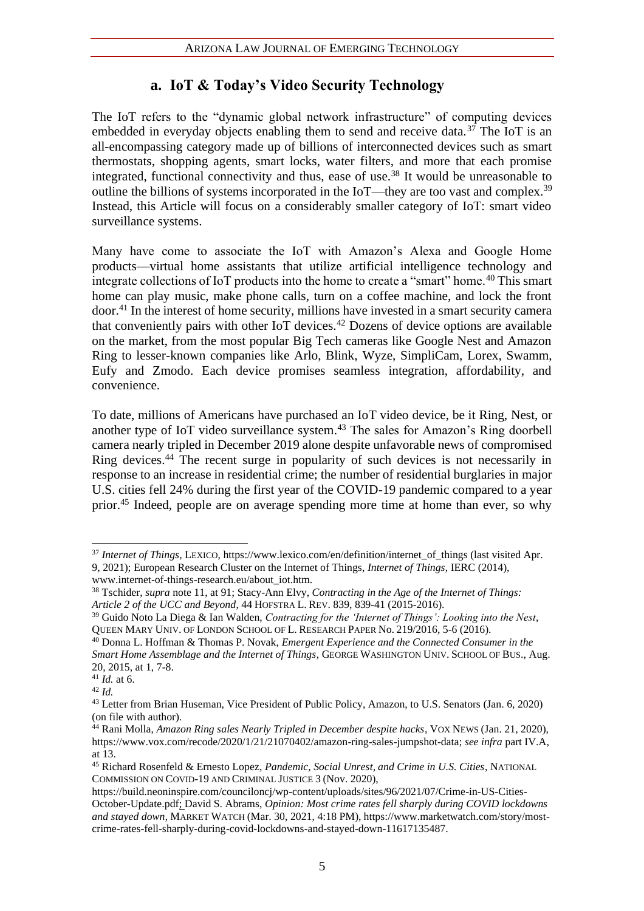#### **a. IoT & Today's Video Security Technology**

The IoT refers to the "dynamic global network infrastructure" of computing devices embedded in everyday objects enabling them to send and receive data.<sup>37</sup> The IoT is an all-encompassing category made up of billions of interconnected devices such as smart thermostats, shopping agents, smart locks, water filters, and more that each promise integrated, functional connectivity and thus, ease of use.<sup>38</sup> It would be unreasonable to outline the billions of systems incorporated in the IoT—they are too vast and complex.<sup>39</sup> Instead, this Article will focus on a considerably smaller category of IoT: smart video surveillance systems.

Many have come to associate the IoT with Amazon's Alexa and Google Home products—virtual home assistants that utilize artificial intelligence technology and integrate collections of IoT products into the home to create a "smart" home.<sup>40</sup> This smart home can play music, make phone calls, turn on a coffee machine, and lock the front door.<sup>41</sup> In the interest of home security, millions have invested in a smart security camera that conveniently pairs with other IoT devices.<sup>42</sup> Dozens of device options are available on the market, from the most popular Big Tech cameras like Google Nest and Amazon Ring to lesser-known companies like Arlo, Blink, Wyze, SimpliCam, Lorex, Swamm, Eufy and Zmodo. Each device promises seamless integration, affordability, and convenience.

To date, millions of Americans have purchased an IoT video device, be it Ring, Nest, or another type of IoT video surveillance system. <sup>43</sup> The sales for Amazon's Ring doorbell camera nearly tripled in December 2019 alone despite unfavorable news of compromised Ring devices. <sup>44</sup> The recent surge in popularity of such devices is not necessarily in response to an increase in residential crime; the number of residential burglaries in major U.S. cities fell 24% during the first year of the COVID-19 pandemic compared to a year prior. <sup>45</sup> Indeed, people are on average spending more time at home than ever, so why

<sup>&</sup>lt;sup>37</sup> *Internet of Things*, LEXICO, https://www.lexico.com/en/definition/internet of things (last visited Apr. 9, 2021); European Research Cluster on the Internet of Things, *Internet of Things*, IERC (2014),

www.internet-of-things-research.eu/about\_iot.htm.

<sup>38</sup> Tschider, *supra* note 11, at 91; Stacy-Ann Elvy, *Contracting in the Age of the Internet of Things: Article 2 of the UCC and Beyond*, 44 HOFSTRA L. REV. 839, 839-41 (2015-2016).

<sup>39</sup> Guido Noto La Diega & Ian Walden, *Contracting for the 'Internet of Things': Looking into the Nest*, QUEEN MARY UNIV. OF LONDON SCHOOL OF L. RESEARCH PAPER No. 219/2016, 5-6 (2016).

<sup>40</sup> Donna L. Hoffman & Thomas P. Novak, *Emergent Experience and the Connected Consumer in the*  Smart Home Assemblage and the Internet of Things, GEORGE WASHINGTON UNIV. SCHOOL OF BUS., Aug. 20, 2015, at 1, 7-8.

<sup>41</sup> *Id.* at 6.

<sup>42</sup> *Id.*

<sup>43</sup> Letter from Brian Huseman, Vice President of Public Policy, Amazon, to U.S. Senators (Jan. 6, 2020) (on file with author).

<sup>44</sup> Rani Molla, *Amazon Ring sales Nearly Tripled in December despite hacks*, VOX NEWS (Jan. 21, 2020), https://www.vox.com/recode/2020/1/21/21070402/amazon-ring-sales-jumpshot-data; *see infra* part IV.A, at 13.

<sup>45</sup> Richard Rosenfeld & Ernesto Lopez, *Pandemic, Social Unrest, and Crime in U.S. Cities*, NATIONAL COMMISSION ON COVID-19 AND CRIMINAL JUSTICE 3 (Nov. 2020),

https://build.neoninspire.com/counciloncj/wp-content/uploads/sites/96/2021/07/Crime-in-US-Cities-October-Update.pdf; David S. Abrams, *Opinion: Most crime rates fell sharply during COVID lockdowns and stayed down*, MARKET WATCH (Mar. 30, 2021, 4:18 PM), https://www.marketwatch.com/story/mostcrime-rates-fell-sharply-during-covid-lockdowns-and-stayed-down-11617135487.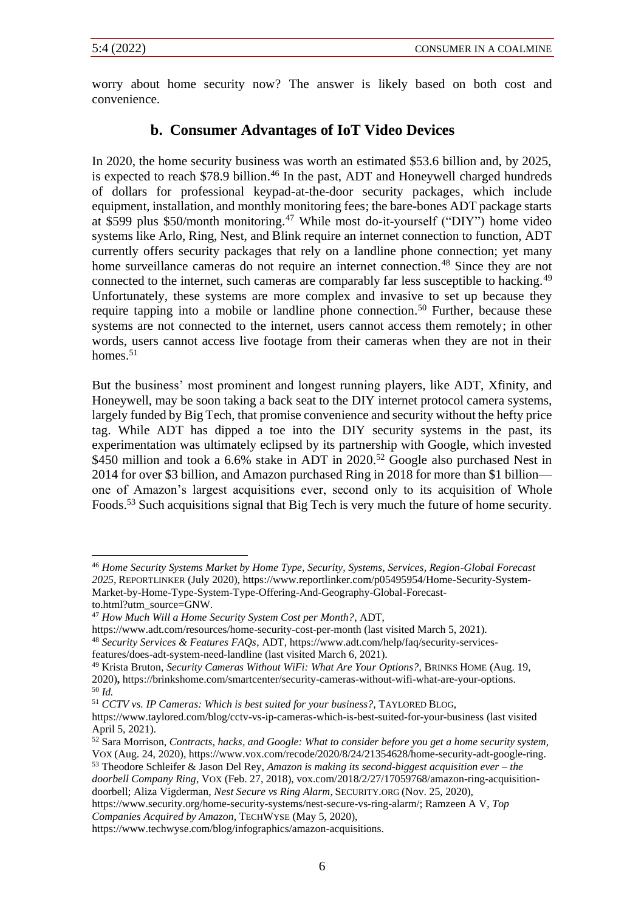worry about home security now? The answer is likely based on both cost and convenience.

#### **b. Consumer Advantages of IoT Video Devices**

In 2020, the home security business was worth an estimated \$53.6 billion and, by 2025, is expected to reach \$78.9 billion. <sup>46</sup> In the past, ADT and Honeywell charged hundreds of dollars for professional keypad-at-the-door security packages, which include equipment, installation, and monthly monitoring fees; the bare-bones ADT package starts at \$599 plus  $$50/m$ onth monitoring.<sup>47</sup> While most do-it-yourself ("DIY") home video systems like Arlo, Ring, Nest, and Blink require an internet connection to function, ADT currently offers security packages that rely on a landline phone connection; yet many home surveillance cameras do not require an internet connection.<sup>48</sup> Since they are not connected to the internet, such cameras are comparably far less susceptible to hacking.<sup>49</sup> Unfortunately, these systems are more complex and invasive to set up because they require tapping into a mobile or landline phone connection. <sup>50</sup> Further, because these systems are not connected to the internet, users cannot access them remotely; in other words, users cannot access live footage from their cameras when they are not in their homes.<sup>51</sup>

But the business' most prominent and longest running players, like ADT, Xfinity, and Honeywell, may be soon taking a back seat to the DIY internet protocol camera systems, largely funded by Big Tech, that promise convenience and security without the hefty price tag. While ADT has dipped a toe into the DIY security systems in the past, its experimentation was ultimately eclipsed by its partnership with Google, which invested \$450 million and took a 6.6% stake in ADT in 2020.<sup>52</sup> Google also purchased Nest in 2014 for over \$3 billion, and Amazon purchased Ring in 2018 for more than \$1 billion one of Amazon's largest acquisitions ever, second only to its acquisition of Whole Foods.<sup>53</sup> Such acquisitions signal that Big Tech is very much the future of home security.

https://www.security.org/home-security-systems/nest-secure-vs-ring-alarm/; Ramzeen A V, *Top Companies Acquired by Amazon*, TECHWYSE (May 5, 2020),

https://www.techwyse.com/blog/infographics/amazon-acquisitions.

<sup>46</sup> *Home Security Systems Market by Home Type, Security, Systems, Services, Region-Global Forecast 2025,* REPORTLINKER (July 2020), https://www.reportlinker.com/p05495954/Home-Security-System-Market-by-Home-Type-System-Type-Offering-And-Geography-Global-Forecastto.html?utm\_source=GNW.

<sup>47</sup> *How Much Will a Home Security System Cost per Month?*, ADT,

https://www.adt.com/resources/home-security-cost-per-month (last visited March 5, 2021).

<sup>48</sup> *Security Services & Features FAQs*, ADT, https://www.adt.com/help/faq/security-servicesfeatures/does-adt-system-need-landline (last visited March 6, 2021).

<sup>49</sup> Krista Bruton, *Security Cameras Without WiFi: What Are Your Options?*, BRINKS HOME (Aug. 19, 2020)**,** https://brinkshome.com/smartcenter/security-cameras-without-wifi-what-are-your-options. <sup>50</sup> *Id.*

<sup>51</sup> *CCTV vs. IP Cameras: Which is best suited for your business?,* TAYLORED BLOG,

https://www.taylored.com/blog/cctv-vs-ip-cameras-which-is-best-suited-for-your-business (last visited April 5, 2021).

<sup>52</sup> Sara Morrison, *Contracts, hacks, and Google: What to consider before you get a home security system,*  VOX (Aug. 24, 2020), https://www.vox.com/recode/2020/8/24/21354628/home-security-adt-google-ring.

<sup>53</sup> Theodore Schleifer & Jason Del Rey, *Amazon is making its second-biggest acquisition ever – the doorbell Company Ring*, VOX (Feb. 27, 2018), vox.com/2018/2/27/17059768/amazon-ring-acquisitiondoorbell; Aliza Vigderman, *Nest Secure vs Ring Alarm*, SECURITY.ORG (Nov. 25, 2020),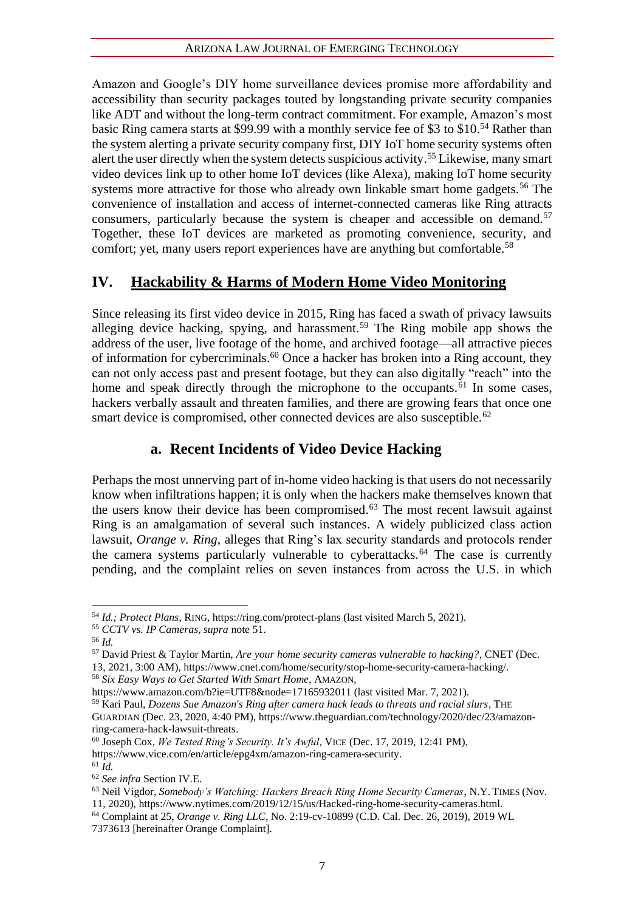Amazon and Google's DIY home surveillance devices promise more affordability and accessibility than security packages touted by longstanding private security companies like ADT and without the long-term contract commitment. For example, Amazon's most basic Ring camera starts at \$99.99 with a monthly service fee of \$3 to \$10.<sup>54</sup> Rather than the system alerting a private security company first, DIY IoT home security systems often alert the user directly when the system detects suspicious activity. <sup>55</sup> Likewise, many smart video devices link up to other home IoT devices (like Alexa), making IoT home security systems more attractive for those who already own linkable smart home gadgets.<sup>56</sup> The convenience of installation and access of internet-connected cameras like Ring attracts consumers, particularly because the system is cheaper and accessible on demand.<sup>57</sup> Together, these IoT devices are marketed as promoting convenience, security, and comfort; yet, many users report experiences have are anything but comfortable. 58

## **IV. Hackability & Harms of Modern Home Video Monitoring**

Since releasing its first video device in 2015, Ring has faced a swath of privacy lawsuits alleging device hacking, spying, and harassment.<sup>59</sup> The Ring mobile app shows the address of the user, live footage of the home, and archived footage—all attractive pieces of information for cybercriminals.<sup>60</sup> Once a hacker has broken into a Ring account, they can not only access past and present footage, but they can also digitally "reach" into the home and speak directly through the microphone to the occupants.<sup>61</sup> In some cases, hackers verbally assault and threaten families, and there are growing fears that once one smart device is compromised, other connected devices are also susceptible.<sup>62</sup>

#### **a. Recent Incidents of Video Device Hacking**

Perhaps the most unnerving part of in-home video hacking is that users do not necessarily know when infiltrations happen; it is only when the hackers make themselves known that the users know their device has been compromised.<sup>63</sup> The most recent lawsuit against Ring is an amalgamation of several such instances. A widely publicized class action lawsuit, *Orange v. Ring*, alleges that Ring's lax security standards and protocols render the camera systems particularly vulnerable to cyberattacks.<sup>64</sup> The case is currently pending, and the complaint relies on seven instances from across the U.S. in which

<sup>54</sup> *Id.; Protect Plans*, RING, https://ring.com/protect-plans (last visited March 5, 2021).

<sup>55</sup> *CCTV vs. IP Cameras, supra* note 51.

<sup>56</sup> *Id.*

<sup>57</sup> David Priest & Taylor Martin, *Are your home security cameras vulnerable to hacking?*, CNET (Dec. 13, 2021, 3:00 AM), https://www.cnet.com/home/security/stop-home-security-camera-hacking/.

<sup>58</sup> *Six Easy Ways to Get Started With Smart Home*, AMAZON,

https://www.amazon.com/b?ie=UTF8&node=17165932011 (last visited Mar. 7, 2021).

<sup>59</sup> Kari Paul, *Dozens Sue Amazon's Ring after camera hack leads to threats and racial slurs*, THE GUARDIAN (Dec. 23, 2020, 4:40 PM), https://www.theguardian.com/technology/2020/dec/23/amazonring-camera-hack-lawsuit-threats.

<sup>60</sup> Joseph Cox, *We Tested Ring's Security. It's Awful*, VICE (Dec. 17, 2019, 12:41 PM), https://www.vice.com/en/article/epg4xm/amazon-ring-camera-security.

 $61 \overline{Id}$ .

<sup>62</sup> *See infra* Section IV.E.

<sup>63</sup> Neil Vigdor, *Somebody's Watching: Hackers Breach Ring Home Security Cameras*, N.Y. TIMES (Nov.

<sup>11, 2020),</sup> https://www.nytimes.com/2019/12/15/us/Hacked-ring-home-security-cameras.html. <sup>64</sup> Complaint at 25, *Orange v. Ring LLC*, No. 2:19-cv-10899 (C.D. Cal. Dec. 26, 2019), 2019 WL

<sup>7373613 [</sup>hereinafter Orange Complaint].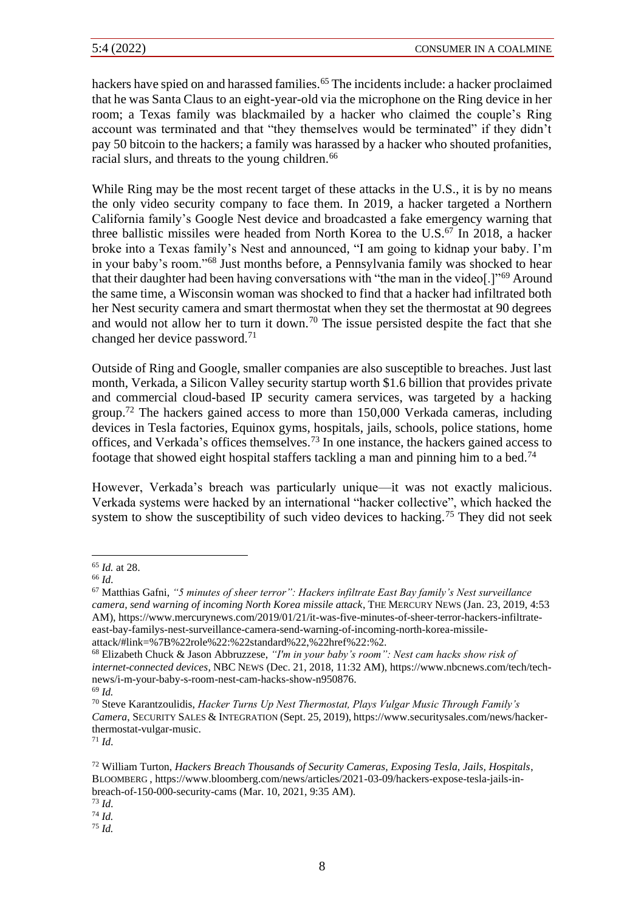hackers have spied on and harassed families.<sup>65</sup> The incidents include: a hacker proclaimed that he was Santa Claus to an eight-year-old via the microphone on the Ring device in her room; a Texas family was blackmailed by a hacker who claimed the couple's Ring account was terminated and that "they themselves would be terminated" if they didn't pay 50 bitcoin to the hackers; a family was harassed by a hacker who shouted profanities, racial slurs, and threats to the young children.<sup>66</sup>

While Ring may be the most recent target of these attacks in the U.S., it is by no means the only video security company to face them. In 2019, a hacker targeted a Northern California family's Google Nest device and broadcasted a fake emergency warning that three ballistic missiles were headed from North Korea to the U.S. $^{67}$  In 2018, a hacker broke into a Texas family's Nest and announced, "I am going to kidnap your baby. I'm in your baby's room."<sup>68</sup> Just months before, a Pennsylvania family was shocked to hear that their daughter had been having conversations with "the man in the video[.]"<sup>69</sup> Around the same time, a Wisconsin woman was shocked to find that a hacker had infiltrated both her Nest security camera and smart thermostat when they set the thermostat at 90 degrees and would not allow her to turn it down.<sup>70</sup> The issue persisted despite the fact that she changed her device password.<sup>71</sup>

Outside of Ring and Google, smaller companies are also susceptible to breaches. Just last month, Verkada, a Silicon Valley security startup worth \$1.6 billion that provides private and commercial cloud-based IP security camera services, was targeted by a hacking group.<sup>72</sup> The hackers gained access to more than 150,000 Verkada cameras, including devices in Tesla factories, Equinox gyms, hospitals, jails, schools, police stations, home offices, and Verkada's offices themselves.<sup>73</sup> In one instance, the hackers gained access to footage that showed eight hospital staffers tackling a man and pinning him to a bed.<sup>74</sup>

However, Verkada's breach was particularly unique—it was not exactly malicious. Verkada systems were hacked by an international "hacker collective", which hacked the system to show the susceptibility of such video devices to hacking.<sup>75</sup> They did not seek

<sup>65</sup> *Id.* at 28.

<sup>66</sup> *Id*.

<sup>67</sup> Matthias Gafni, *"5 minutes of sheer terror": Hackers infiltrate East Bay family's Nest surveillance camera, send warning of incoming North Korea missile attack*, THE MERCURY NEWS (Jan. 23, 2019, 4:53 AM), https://www.mercurynews.com/2019/01/21/it-was-five-minutes-of-sheer-terror-hackers-infiltrateeast-bay-familys-nest-surveillance-camera-send-warning-of-incoming-north-korea-missileattack/#link=%7B%22role%22:%22standard%22,%22href%22:%2.

<sup>68</sup> Elizabeth Chuck & Jason Abbruzzese, *"I'm in your baby's room": Nest cam hacks show risk of internet-connected devices*, NBC NEWS (Dec. 21, 2018, 11:32 AM), https://www.nbcnews.com/tech/technews/i-m-your-baby-s-room-nest-cam-hacks-show-n950876.

<sup>69</sup> *Id.*

<sup>70</sup> Steve Karantzoulidis, *Hacker Turns Up Nest Thermostat, Plays Vulgar Music Through Family's Camera*, SECURITY SALES & INTEGRATION (Sept. 25, 2019), https://www.securitysales.com/news/hackerthermostat-vulgar-music.

 $71$  *Id.* 

<sup>72</sup> William Turton, *Hackers Breach Thousands of Security Cameras, Exposing Tesla, Jails, Hospitals*, BLOOMBERG , https://www.bloomberg.com/news/articles/2021-03-09/hackers-expose-tesla-jails-inbreach-of-150-000-security-cams (Mar. 10, 2021, 9:35 AM).

<sup>73</sup> *Id*.

<sup>74</sup> *Id.*

<sup>75</sup> *Id.*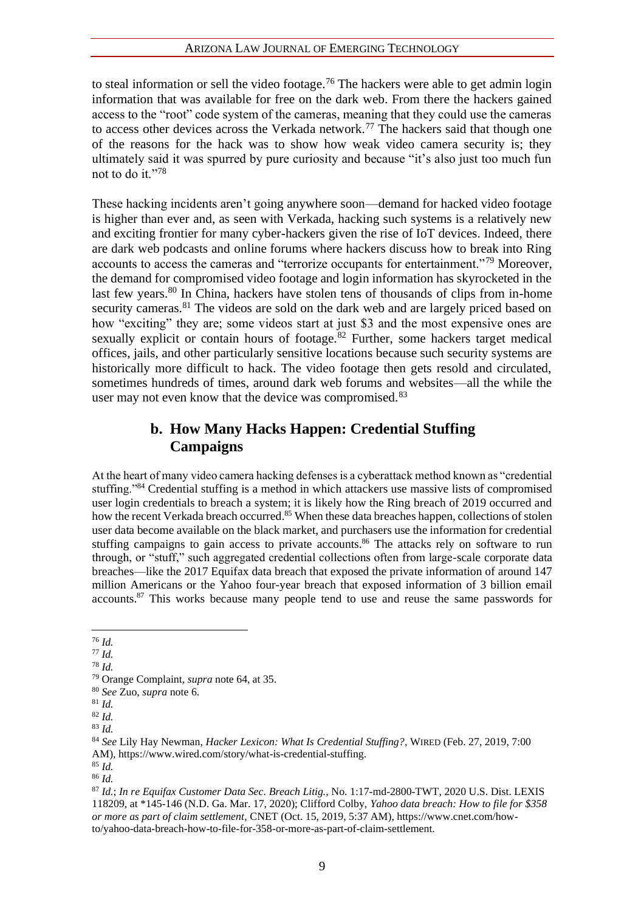to steal information or sell the video footage.<sup>76</sup> The hackers were able to get admin login information that was available for free on the dark web. From there the hackers gained access to the "root" code system of the cameras, meaning that they could use the cameras to access other devices across the Verkada network.<sup>77</sup> The hackers said that though one of the reasons for the hack was to show how weak video camera security is; they ultimately said it was spurred by pure curiosity and because "it's also just too much fun not to do it."78

These hacking incidents aren't going anywhere soon—demand for hacked video footage is higher than ever and, as seen with Verkada, hacking such systems is a relatively new and exciting frontier for many cyber-hackers given the rise of IoT devices. Indeed, there are dark web podcasts and online forums where hackers discuss how to break into Ring accounts to access the cameras and "terrorize occupants for entertainment."<sup>79</sup> Moreover, the demand for compromised video footage and login information has skyrocketed in the last few years.<sup>80</sup> In China, hackers have stolen tens of thousands of clips from in-home security cameras.<sup>81</sup> The videos are sold on the dark web and are largely priced based on how "exciting" they are; some videos start at just \$3 and the most expensive ones are sexually explicit or contain hours of footage. $82$  Further, some hackers target medical offices, jails, and other particularly sensitive locations because such security systems are historically more difficult to hack. The video footage then gets resold and circulated, sometimes hundreds of times, around dark web forums and websites—all the while the user may not even know that the device was compromised.<sup>83</sup>

#### **b. How Many Hacks Happen: Credential Stuffing Campaigns**

At the heart of many video camera hacking defenses is a cyberattack method known as "credential stuffing."<sup>84</sup> Credential stuffing is a method in which attackers use massive lists of compromised user login credentials to breach a system; it is likely how the Ring breach of 2019 occurred and how the recent Verkada breach occurred.<sup>85</sup> When these data breaches happen, collections of stolen user data become available on the black market, and purchasers use the information for credential stuffing campaigns to gain access to private accounts.<sup>86</sup> The attacks rely on software to run through, or "stuff," such aggregated credential collections often from large-scale corporate data breaches—like the 2017 Equifax data breach that exposed the private information of around 147 million Americans or the Yahoo four-year breach that exposed information of 3 billion email accounts.<sup>87</sup> This works because many people tend to use and reuse the same passwords for

<sup>78</sup> *Id.*

<sup>83</sup> *Id.*

<sup>87</sup> *Id.*; *In re Equifax Customer Data Sec. Breach Litig.*, No. 1:17-md-2800-TWT, 2020 U.S. Dist. LEXIS 118209, at \*145-146 (N.D. Ga. Mar. 17, 2020); Clifford Colby, *Yahoo data breach: How to file for \$358 or more as part of claim settlement*, CNET (Oct. 15, 2019, 5:37 AM), https://www.cnet.com/howto/yahoo-data-breach-how-to-file-for-358-or-more-as-part-of-claim-settlement.

<sup>76</sup> *Id.*

<sup>77</sup> *Id.*

<sup>79</sup> Orange Complaint, *supra* note 64, at 35.

<sup>80</sup> *See* Zuo, *supra* note 6.

<sup>81</sup> *Id.*

<sup>82</sup> *Id.* 

<sup>84</sup> *See* Lily Hay Newman, *Hacker Lexicon: What Is Credential Stuffing?,* WIRED (Feb. 27, 2019, 7:00 AM), https://www.wired.com/story/what-is-credential-stuffing.

<sup>85</sup> *Id.*

<sup>86</sup> *Id.*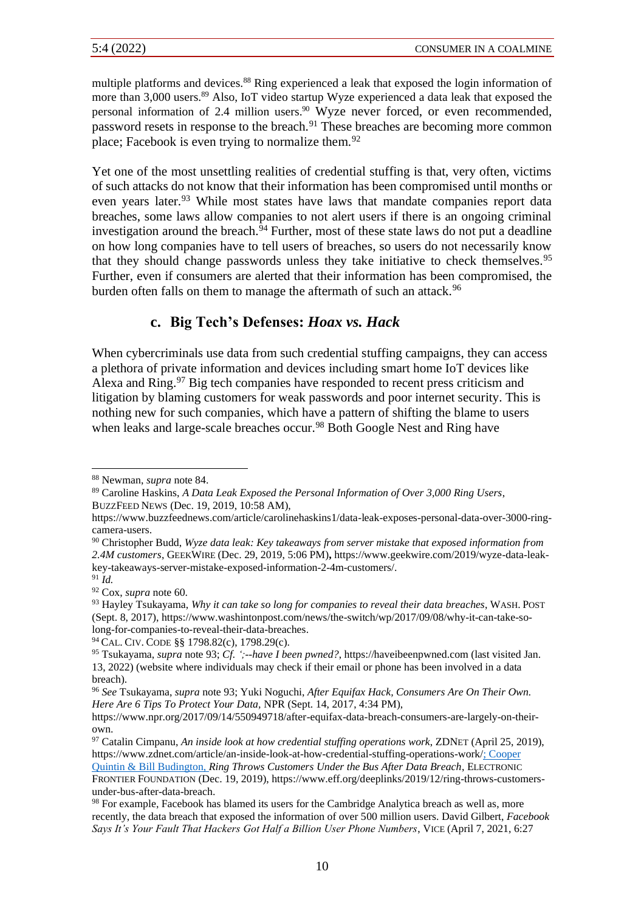multiple platforms and devices.<sup>88</sup> Ring experienced a leak that exposed the login information of more than 3,000 users.<sup>89</sup> Also, IoT video startup Wyze experienced a data leak that exposed the personal information of 2.4 million users.<sup>90</sup> Wyze never forced, or even recommended, password resets in response to the breach.<sup>91</sup> These breaches are becoming more common place; Facebook is even trying to normalize them.<sup>92</sup>

Yet one of the most unsettling realities of credential stuffing is that, very often, victims of such attacks do not know that their information has been compromised until months or even years later.<sup>93</sup> While most states have laws that mandate companies report data breaches, some laws allow companies to not alert users if there is an ongoing criminal investigation around the breach.<sup>94</sup> Further, most of these state laws do not put a deadline on how long companies have to tell users of breaches, so users do not necessarily know that they should change passwords unless they take initiative to check themselves.<sup>95</sup> Further, even if consumers are alerted that their information has been compromised, the burden often falls on them to manage the aftermath of such an attack.<sup>96</sup>

#### **c. Big Tech's Defenses:** *Hoax vs. Hack*

When cybercriminals use data from such credential stuffing campaigns, they can access a plethora of private information and devices including smart home IoT devices like Alexa and Ring.<sup>97</sup> Big tech companies have responded to recent press criticism and litigation by blaming customers for weak passwords and poor internet security. This is nothing new for such companies, which have a pattern of shifting the blame to users when leaks and large-scale breaches occur.<sup>98</sup> Both Google Nest and Ring have

<sup>88</sup> Newman, *supra* note 84.

<sup>89</sup> Caroline Haskins, *A Data Leak Exposed the Personal Information of Over 3,000 Ring Users*, BUZZFEED NEWS (Dec. 19, 2019, 10:58 AM),

https://www.buzzfeednews.com/article/carolinehaskins1/data-leak-exposes-personal-data-over-3000-ringcamera-users.

<sup>90</sup> Christopher Budd, *Wyze data leak: Key takeaways from server mistake that exposed information from 2.4M customers*, GEEKWIRE (Dec. 29, 2019, 5:06 PM)**,** https://www.geekwire.com/2019/wyze-data-leakkey-takeaways-server-mistake-exposed-information-2-4m-customers/.

<sup>91</sup> *Id.*

<sup>92</sup> Cox, *supra* note 60.

<sup>93</sup> Hayley Tsukayama, *Why it can take so long for companies to reveal their data breaches*, WASH.POST (Sept. 8, 2017), https://www.washintonpost.com/news/the-switch/wp/2017/09/08/why-it-can-take-solong-for-companies-to-reveal-their-data-breaches.

<sup>94</sup> CAL. CIV. CODE §§ 1798.82(c), 1798.29(c).

<sup>95</sup> Tsukayama, *supra* note 93; *Cf. ';--have I been pwned?*, https://haveibeenpwned.com (last visited Jan. 13, 2022) (website where individuals may check if their email or phone has been involved in a data breach).

<sup>96</sup> *See* Tsukayama, *supra* note 93; Yuki Noguchi, *After Equifax Hack, Consumers Are On Their Own. Here Are 6 Tips To Protect Your Data,* NPR (Sept. 14, 2017, 4:34 PM),

https://www.npr.org/2017/09/14/550949718/after-equifax-data-breach-consumers-are-largely-on-theirown.

<sup>97</sup> Catalin Cimpanu, *An inside look at how credential stuffing operations work*, ZDNET (April 25, 2019), https://www.zdnet.com/article/an-inside-look-at-how-credential-stuffing-operations-work/; Cooper Quintin & Bill Budington, *Ring Throws Customers Under the Bus After Data Breach*, ELECTRONIC FRONTIER FOUNDATION (Dec. 19, 2019), https://www.eff.org/deeplinks/2019/12/ring-throws-customersunder-bus-after-data-breach.

<sup>&</sup>lt;sup>98</sup> For example, Facebook has blamed its users for the Cambridge Analytica breach as well as, more recently, the data breach that exposed the information of over 500 million users. David Gilbert, *Facebook Says It's Your Fault That Hackers Got Half a Billion User Phone Numbers*, VICE (April 7, 2021, 6:27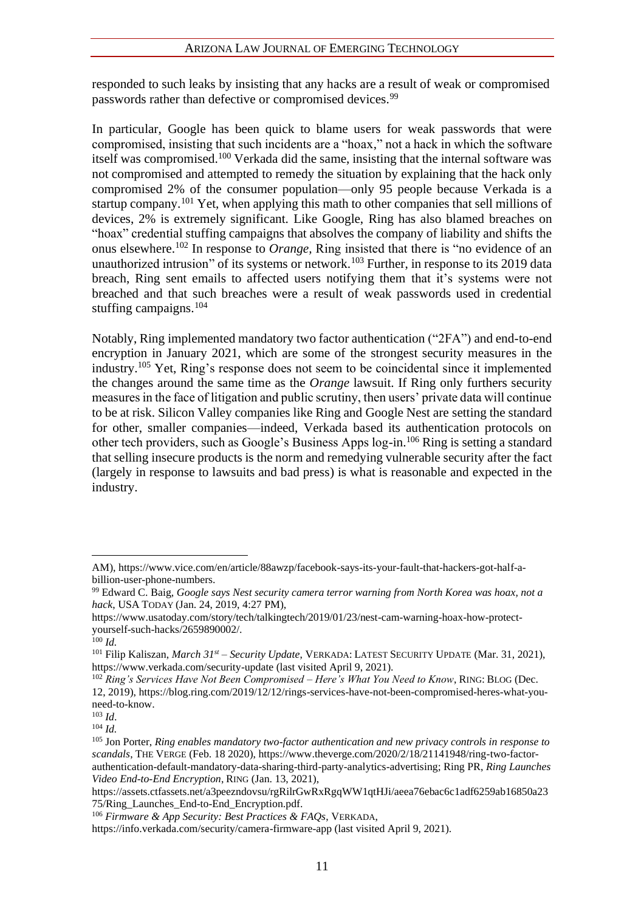#### ARIZONA LAW JOURNAL OF EMERGING TECHNOLOGY

responded to such leaks by insisting that any hacks are a result of weak or compromised passwords rather than defective or compromised devices.<sup>99</sup>

In particular, Google has been quick to blame users for weak passwords that were compromised, insisting that such incidents are a "hoax," not a hack in which the software itself was compromised.<sup>100</sup> Verkada did the same, insisting that the internal software was not compromised and attempted to remedy the situation by explaining that the hack only compromised 2% of the consumer population—only 95 people because Verkada is a startup company.<sup>101</sup> Yet, when applying this math to other companies that sell millions of devices, 2% is extremely significant. Like Google, Ring has also blamed breaches on "hoax" credential stuffing campaigns that absolves the company of liability and shifts the onus elsewhere.<sup>102</sup> In response to *Orange,* Ring insisted that there is "no evidence of an unauthorized intrusion" of its systems or network.<sup>103</sup> Further, in response to its 2019 data breach, Ring sent emails to affected users notifying them that it's systems were not breached and that such breaches were a result of weak passwords used in credential stuffing campaigns.<sup>104</sup>

Notably, Ring implemented mandatory two factor authentication ("2FA") and end-to-end encryption in January 2021, which are some of the strongest security measures in the industry.<sup>105</sup> Yet, Ring's response does not seem to be coincidental since it implemented the changes around the same time as the *Orange* lawsuit. If Ring only furthers security measures in the face of litigation and public scrutiny, then users' private data will continue to be at risk. Silicon Valley companies like Ring and Google Nest are setting the standard for other, smaller companies—indeed, Verkada based its authentication protocols on other tech providers, such as Google's Business Apps log-in.<sup>106</sup> Ring is setting a standard that selling insecure products is the norm and remedying vulnerable security after the fact (largely in response to lawsuits and bad press) is what is reasonable and expected in the industry.

AM), https://www.vice.com/en/article/88awzp/facebook-says-its-your-fault-that-hackers-got-half-abillion-user-phone-numbers.

<sup>99</sup> Edward C. Baig, *Google says Nest security camera terror warning from North Korea was hoax, not a hack*, USA TODAY (Jan. 24, 2019, 4:27 PM),

https://www.usatoday.com/story/tech/talkingtech/2019/01/23/nest-cam-warning-hoax-how-protectyourself-such-hacks/2659890002/.

 $100$  *Id.* 

<sup>101</sup> Filip Kaliszan, *March 31st – Security Update*, VERKADA: LATEST SECURITY UPDATE (Mar. 31, 2021), https://www.verkada.com/security-update (last visited April 9, 2021).

<sup>102</sup> *Ring's Services Have Not Been Compromised – Here's What You Need to Know*, RING: BLOG (Dec. 12, 2019), https://blog.ring.com/2019/12/12/rings-services-have-not-been-compromised-heres-what-youneed-to-know.

<sup>103</sup> *Id*.

<sup>104</sup> *Id.*

<sup>105</sup> Jon Porter, *Ring enables mandatory two-factor authentication and new privacy controls in response to scandals*, THE VERGE (Feb. 18 2020), https://www.theverge.com/2020/2/18/21141948/ring-two-factorauthentication-default-mandatory-data-sharing-third-party-analytics-advertising; Ring PR, *Ring Launches Video End-to-End Encryption*, RING (Jan. 13, 2021),

https://assets.ctfassets.net/a3peezndovsu/rgRilrGwRxRgqWW1qtHJi/aeea76ebac6c1adf6259ab16850a23 75/Ring\_Launches\_End-to-End\_Encryption.pdf.

<sup>106</sup> *Firmware & App Security: Best Practices & FAQs*, VERKADA,

https://info.verkada.com/security/camera-firmware-app (last visited April 9, 2021).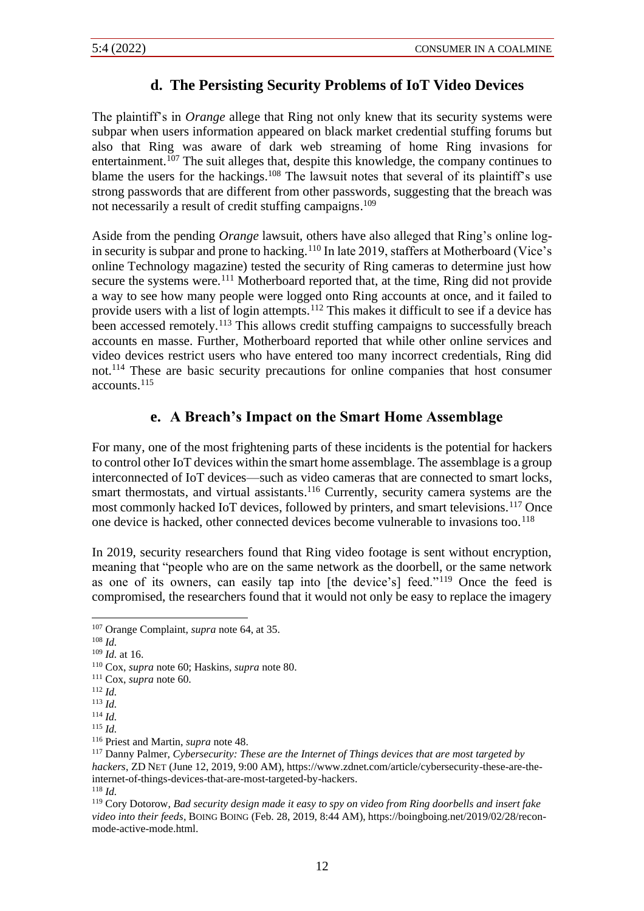#### **d. The Persisting Security Problems of IoT Video Devices**

The plaintiff's in *Orange* allege that Ring not only knew that its security systems were subpar when users information appeared on black market credential stuffing forums but also that Ring was aware of dark web streaming of home Ring invasions for entertainment.<sup> $107$ </sup> The suit alleges that, despite this knowledge, the company continues to blame the users for the hackings.<sup>108</sup> The lawsuit notes that several of its plaintiff's use strong passwords that are different from other passwords, suggesting that the breach was not necessarily a result of credit stuffing campaigns. 109

Aside from the pending *Orange* lawsuit, others have also alleged that Ring's online login security is subpar and prone to hacking.<sup>110</sup> In late 2019, staffers at Motherboard (Vice's online Technology magazine) tested the security of Ring cameras to determine just how secure the systems were.<sup>111</sup> Motherboard reported that, at the time, Ring did not provide a way to see how many people were logged onto Ring accounts at once, and it failed to provide users with a list of login attempts.<sup>112</sup> This makes it difficult to see if a device has been accessed remotely.<sup>113</sup> This allows credit stuffing campaigns to successfully breach accounts en masse. Further, Motherboard reported that while other online services and video devices restrict users who have entered too many incorrect credentials, Ring did not.<sup>114</sup> These are basic security precautions for online companies that host consumer accounts.<sup>115</sup>

#### **e. A Breach's Impact on the Smart Home Assemblage**

For many, one of the most frightening parts of these incidents is the potential for hackers to control other IoT devices within the smart home assemblage. The assemblage is a group interconnected of IoT devices—such as video cameras that are connected to smart locks, smart thermostats, and virtual assistants.<sup>116</sup> Currently, security camera systems are the most commonly hacked IoT devices, followed by printers, and smart televisions.<sup>117</sup> Once one device is hacked, other connected devices become vulnerable to invasions too.<sup>118</sup>

In 2019, security researchers found that Ring video footage is sent without encryption, meaning that "people who are on the same network as the doorbell, or the same network as one of its owners, can easily tap into [the device's] feed."<sup>119</sup> Once the feed is compromised, the researchers found that it would not only be easy to replace the imagery

<sup>107</sup> Orange Complaint, *supra* note 64, at 35.

<sup>108</sup> *Id.*

<sup>109</sup> *Id.* at 16.

<sup>110</sup> Cox, *supra* note 60; Haskins, *supra* note 80.

<sup>111</sup> Cox, *supra* note 60.

<sup>112</sup> *Id.*

<sup>113</sup> *Id.*

<sup>114</sup> *Id.*

<sup>115</sup> *Id.*

<sup>116</sup> Priest and Martin, *supra* note 48.

<sup>117</sup> Danny Palmer, *Cybersecurity: These are the Internet of Things devices that are most targeted by hackers*, ZD NET (June 12, 2019, 9:00 AM), https://www.zdnet.com/article/cybersecurity-these-are-theinternet-of-things-devices-that-are-most-targeted-by-hackers. <sup>118</sup> *Id.*

<sup>119</sup> Cory Dotorow, *Bad security design made it easy to spy on video from Ring doorbells and insert fake video into their feeds*, BOING BOING (Feb. 28, 2019, 8:44 AM), https://boingboing.net/2019/02/28/reconmode-active-mode.html.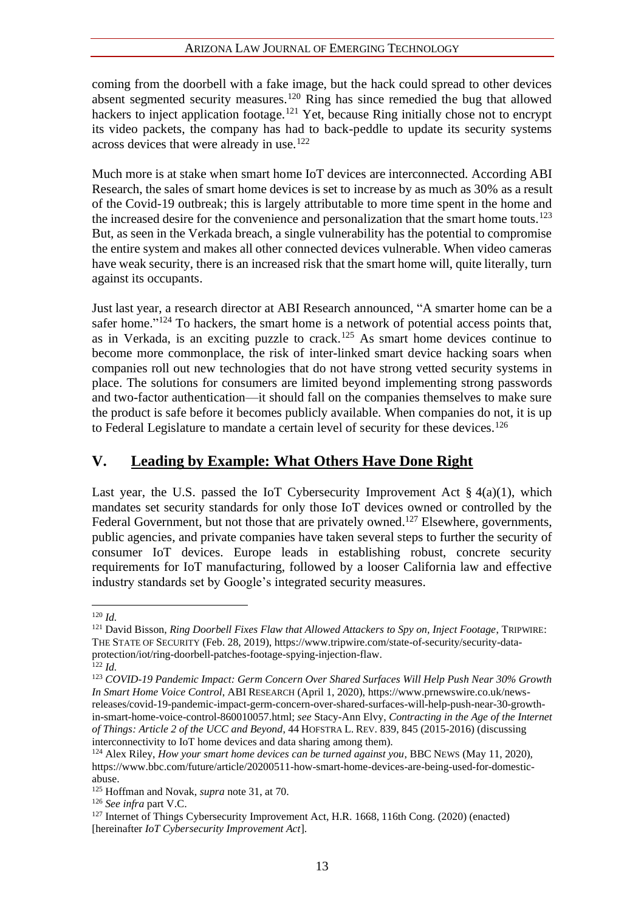#### ARIZONA LAW JOURNAL OF EMERGING TECHNOLOGY

coming from the doorbell with a fake image, but the hack could spread to other devices absent segmented security measures.<sup>120</sup> Ring has since remedied the bug that allowed hackers to inject application footage.<sup>121</sup> Yet, because Ring initially chose not to encrypt its video packets, the company has had to back-peddle to update its security systems across devices that were already in use.<sup>122</sup>

Much more is at stake when smart home IoT devices are interconnected. According ABI Research, the sales of smart home devices is set to increase by as much as 30% as a result of the Covid-19 outbreak; this is largely attributable to more time spent in the home and the increased desire for the convenience and personalization that the smart home touts.<sup>123</sup> But, as seen in the Verkada breach, a single vulnerability has the potential to compromise the entire system and makes all other connected devices vulnerable. When video cameras have weak security, there is an increased risk that the smart home will, quite literally, turn against its occupants.

Just last year, a research director at ABI Research announced, "A smarter home can be a safer home."<sup>124</sup> To hackers, the smart home is a network of potential access points that, as in Verkada, is an exciting puzzle to crack.<sup>125</sup> As smart home devices continue to become more commonplace, the risk of inter-linked smart device hacking soars when companies roll out new technologies that do not have strong vetted security systems in place. The solutions for consumers are limited beyond implementing strong passwords and two-factor authentication—it should fall on the companies themselves to make sure the product is safe before it becomes publicly available. When companies do not, it is up to Federal Legislature to mandate a certain level of security for these devices.<sup>126</sup>

#### **V. Leading by Example: What Others Have Done Right**

Last year, the U.S. passed the IoT Cybersecurity Improvement Act  $\S 4(a)(1)$ , which mandates set security standards for only those IoT devices owned or controlled by the Federal Government, but not those that are privately owned.<sup>127</sup> Elsewhere, governments, public agencies, and private companies have taken several steps to further the security of consumer IoT devices. Europe leads in establishing robust, concrete security requirements for IoT manufacturing, followed by a looser California law and effective industry standards set by Google's integrated security measures.

<sup>120</sup> *Id.*

<sup>121</sup> David Bisson, *Ring Doorbell Fixes Flaw that Allowed Attackers to Spy on, Inject Footage*, TRIPWIRE: THE STATE OF SECURITY (Feb. 28, 2019), https://www.tripwire.com/state-of-security/security-dataprotection/iot/ring-doorbell-patches-footage-spying-injection-flaw.

<sup>122</sup> *Id.*

<sup>123</sup> *COVID-19 Pandemic Impact: Germ Concern Over Shared Surfaces Will Help Push Near 30% Growth In Smart Home Voice Control*, ABI RESEARCH (April 1, 2020), https://www.prnewswire.co.uk/newsreleases/covid-19-pandemic-impact-germ-concern-over-shared-surfaces-will-help-push-near-30-growthin-smart-home-voice-control-860010057.html; *see* Stacy-Ann Elvy, *Contracting in the Age of the Internet of Things: Article 2 of the UCC and Beyond*, 44 HOFSTRA L. REV. 839, 845 (2015-2016) (discussing interconnectivity to IoT home devices and data sharing among them).

<sup>124</sup> Alex Riley, *How your smart home devices can be turned against you*, BBC NEWS (May 11, 2020), https://www.bbc.com/future/article/20200511-how-smart-home-devices-are-being-used-for-domesticabuse.

<sup>125</sup> Hoffman and Novak, *supra* note 31, at 70.

<sup>126</sup> *See infra* part V.C.

<sup>&</sup>lt;sup>127</sup> Internet of Things Cybersecurity Improvement Act, H.R. 1668, 116th Cong. (2020) (enacted) [hereinafter *IoT Cybersecurity Improvement Act*].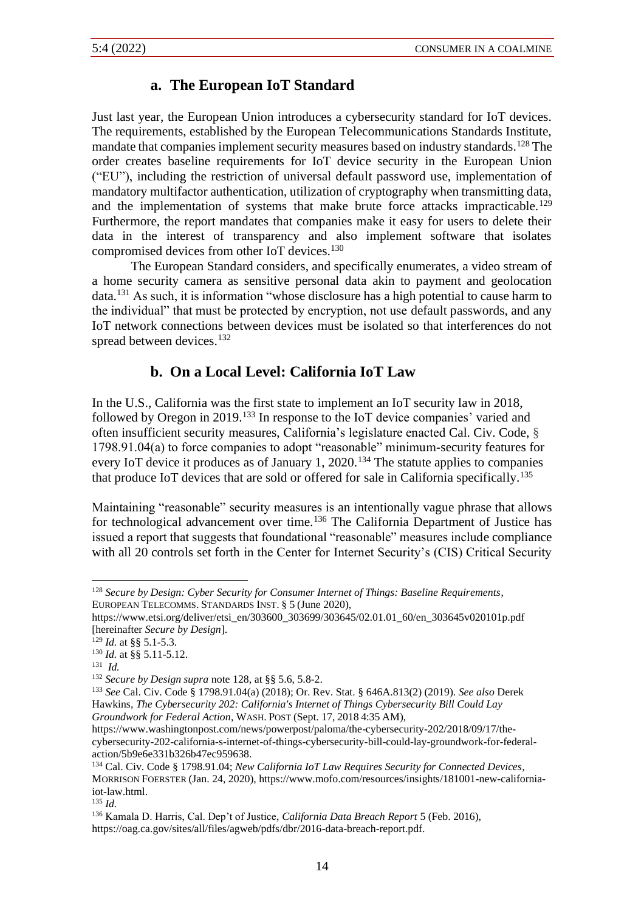## **a. The European IoT Standard**

Just last year, the European Union introduces a cybersecurity standard for IoT devices. The requirements, established by the European Telecommunications Standards Institute, mandate that companies implement security measures based on industry standards.<sup>128</sup> The order creates baseline requirements for IoT device security in the European Union ("EU"), including the restriction of universal default password use, implementation of mandatory multifactor authentication, utilization of cryptography when transmitting data, and the implementation of systems that make brute force attacks impracticable.<sup>129</sup> Furthermore, the report mandates that companies make it easy for users to delete their data in the interest of transparency and also implement software that isolates compromised devices from other IoT devices.<sup>130</sup>

The European Standard considers, and specifically enumerates, a video stream of a home security camera as sensitive personal data akin to payment and geolocation data.<sup>131</sup> As such, it is information "whose disclosure has a high potential to cause harm to the individual" that must be protected by encryption, not use default passwords, and any IoT network connections between devices must be isolated so that interferences do not spread between devices.<sup>132</sup>

## **b. On a Local Level: California IoT Law**

In the U.S., California was the first state to implement an IoT security law in 2018, followed by Oregon in 2019.<sup>133</sup> In response to the IoT device companies' varied and often insufficient security measures, California's legislature enacted Cal. Civ. Code, § 1798.91.04(a) to force companies to adopt "reasonable" minimum-security features for every IoT device it produces as of January 1,  $2020$ .<sup>134</sup> The statute applies to companies that produce IoT devices that are sold or offered for sale in California specifically. 135

Maintaining "reasonable" security measures is an intentionally vague phrase that allows for technological advancement over time.<sup>136</sup> The California Department of Justice has issued a report that suggests that foundational "reasonable" measures include compliance with all 20 controls set forth in the Center for Internet Security's (CIS) Critical Security

<sup>128</sup> *Secure by Design: Cyber Security for Consumer Internet of Things: Baseline Requirements*, EUROPEAN TELECOMMS. STANDARDS INST. § 5 (June 2020),

https://www.etsi.org/deliver/etsi\_en/303600\_303699/303645/02.01.01\_60/en\_303645v020101p.pdf [hereinafter *Secure by Design*].

<sup>129</sup> *Id.* at §§ 5.1-5.3.

<sup>130</sup> *Id.* at §§ 5.11-5.12.

<sup>131</sup> *Id.*

<sup>132</sup> *Secure by Design supra* note 128, at §§ 5.6, 5.8-2.

<sup>133</sup> *See* Cal. Civ. Code § 1798.91.04(a) (2018); Or. Rev. Stat. § 646A.813(2) (2019). *See also* Derek Hawkins, *The Cybersecurity 202: California's Internet of Things Cybersecurity Bill Could Lay Groundwork for Federal Action*, WASH.POST (Sept. 17, 2018 4:35 AM),

https://www.washingtonpost.com/news/powerpost/paloma/the-cybersecurity-202/2018/09/17/thecybersecurity-202-california-s-internet-of-things-cybersecurity-bill-could-lay-groundwork-for-federalaction/5b9e6e331b326b47ec959638.

<sup>134</sup> Cal. Civ. Code § 1798.91.04; *New California IoT Law Requires Security for Connected Devices*, MORRISON FOERSTER (Jan. 24, 2020), https://www.mofo.com/resources/insights/181001-new-californiaiot-law.html.

 $135$  *Id.* 

<sup>136</sup> Kamala D. Harris, Cal. Dep't of Justice, *California Data Breach Report* 5 (Feb. 2016), https://oag.ca.gov/sites/all/files/agweb/pdfs/dbr/2016-data-breach-report.pdf.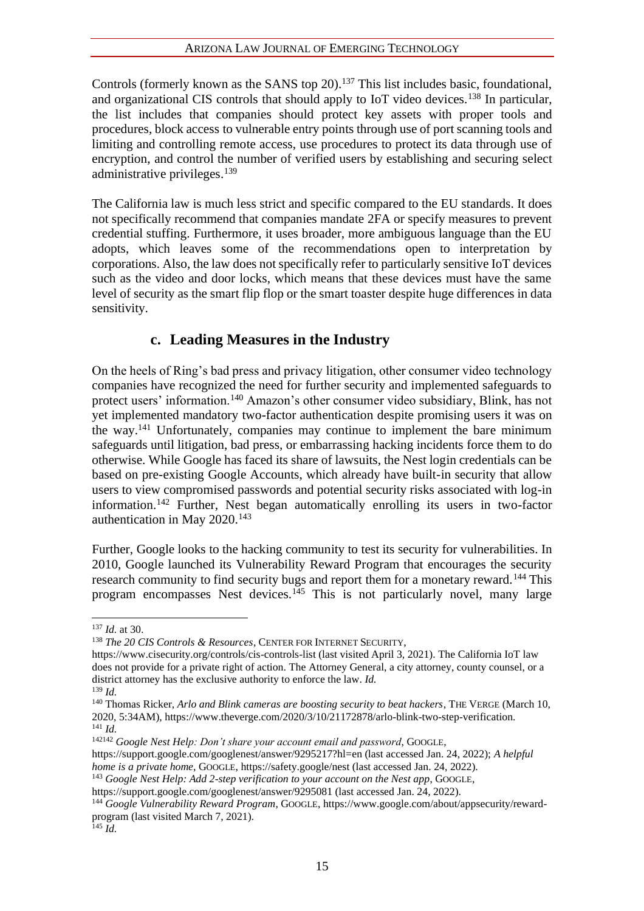Controls (formerly known as the SANS top 20).<sup>137</sup> This list includes basic, foundational, and organizational CIS controls that should apply to IoT video devices.<sup>138</sup> In particular, the list includes that companies should protect key assets with proper tools and procedures, block access to vulnerable entry points through use of port scanning tools and limiting and controlling remote access, use procedures to protect its data through use of encryption, and control the number of verified users by establishing and securing select administrative privileges.<sup>139</sup>

The California law is much less strict and specific compared to the EU standards. It does not specifically recommend that companies mandate 2FA or specify measures to prevent credential stuffing. Furthermore, it uses broader, more ambiguous language than the EU adopts, which leaves some of the recommendations open to interpretation by corporations. Also, the law does not specifically refer to particularly sensitive IoT devices such as the video and door locks, which means that these devices must have the same level of security as the smart flip flop or the smart toaster despite huge differences in data sensitivity.

#### **c. Leading Measures in the Industry**

On the heels of Ring's bad press and privacy litigation, other consumer video technology companies have recognized the need for further security and implemented safeguards to protect users' information.<sup>140</sup> Amazon's other consumer video subsidiary, Blink, has not yet implemented mandatory two-factor authentication despite promising users it was on the way.<sup>141</sup> Unfortunately, companies may continue to implement the bare minimum safeguards until litigation, bad press, or embarrassing hacking incidents force them to do otherwise. While Google has faced its share of lawsuits, the Nest login credentials can be based on pre-existing Google Accounts, which already have built-in security that allow users to view compromised passwords and potential security risks associated with log-in information.<sup>142</sup> Further, Nest began automatically enrolling its users in two-factor authentication in May 2020.<sup>143</sup>

Further, Google looks to the hacking community to test its security for vulnerabilities. In 2010, Google launched its Vulnerability Reward Program that encourages the security research community to find security bugs and report them for a monetary reward.<sup>144</sup> This program encompasses Nest devices.<sup>145</sup> This is not particularly novel, many large

<sup>137</sup> *Id.* at 30.

<sup>138</sup> *The 20 CIS Controls & Resources*, CENTER FOR INTERNET SECURITY,

https://www.cisecurity.org/controls/cis-controls-list (last visited April 3, 2021). The California IoT law does not provide for a private right of action. The Attorney General, a city attorney, county counsel, or a district attorney has the exclusive authority to enforce the law. *Id.*

<sup>139</sup> *Id.*

<sup>140</sup> Thomas Ricker, *Arlo and Blink cameras are boosting security to beat hackers*, THE VERGE (March 10, 2020, 5:34AM), https://www.theverge.com/2020/3/10/21172878/arlo-blink-two-step-verification. <sup>141</sup> *Id.* 

<sup>&</sup>lt;sup>142142</sup> *Google Nest Help: Don't share your account email and password*, GOOGLE, https://support.google.com/googlenest/answer/9295217?hl=en (last accessed Jan. 24, 2022); *A helpful home is a private home*, GOOGLE, https://safety.google/nest (last accessed Jan. 24, 2022).

<sup>&</sup>lt;sup>143</sup> Google Nest Help: Add 2-step verification to your account on the Nest app, GOOGLE, https://support.google.com/googlenest/answer/9295081 (last accessed Jan. 24, 2022).

<sup>144</sup> *Google Vulnerability Reward Program*, GOOGLE, https://www.google.com/about/appsecurity/rewardprogram (last visited March 7, 2021).

 $145$  *Id.*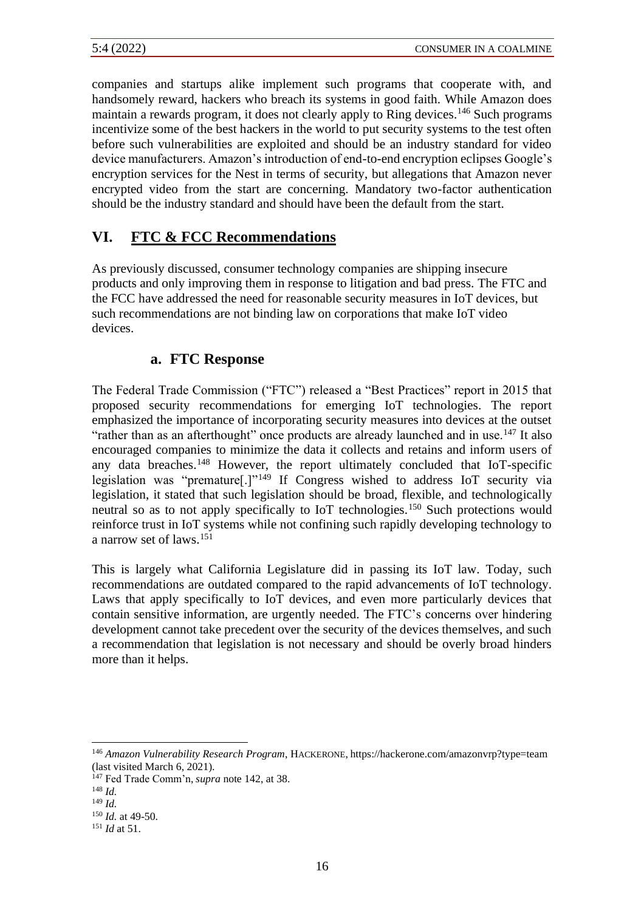companies and startups alike implement such programs that cooperate with, and handsomely reward, hackers who breach its systems in good faith. While Amazon does maintain a rewards program, it does not clearly apply to Ring devices.<sup>146</sup> Such programs incentivize some of the best hackers in the world to put security systems to the test often before such vulnerabilities are exploited and should be an industry standard for video device manufacturers. Amazon's introduction of end-to-end encryption eclipses Google's encryption services for the Nest in terms of security, but allegations that Amazon never encrypted video from the start are concerning. Mandatory two-factor authentication should be the industry standard and should have been the default from the start.

## **VI. FTC & FCC Recommendations**

As previously discussed, consumer technology companies are shipping insecure products and only improving them in response to litigation and bad press. The FTC and the FCC have addressed the need for reasonable security measures in IoT devices, but such recommendations are not binding law on corporations that make IoT video devices.

#### **a. FTC Response**

The Federal Trade Commission ("FTC") released a "Best Practices" report in 2015 that proposed security recommendations for emerging IoT technologies. The report emphasized the importance of incorporating security measures into devices at the outset "rather than as an afterthought" once products are already launched and in use.<sup>147</sup> It also encouraged companies to minimize the data it collects and retains and inform users of any data breaches.<sup>148</sup> However, the report ultimately concluded that IoT-specific legislation was "premature[.]"<sup>149</sup> If Congress wished to address IoT security via legislation, it stated that such legislation should be broad, flexible, and technologically neutral so as to not apply specifically to IoT technologies.<sup>150</sup> Such protections would reinforce trust in IoT systems while not confining such rapidly developing technology to a narrow set of laws.<sup>151</sup>

This is largely what California Legislature did in passing its IoT law. Today, such recommendations are outdated compared to the rapid advancements of IoT technology. Laws that apply specifically to IoT devices, and even more particularly devices that contain sensitive information, are urgently needed. The FTC's concerns over hindering development cannot take precedent over the security of the devices themselves, and such a recommendation that legislation is not necessary and should be overly broad hinders more than it helps.

<sup>146</sup> *Amazon Vulnerability Research Program*, HACKERONE, https://hackerone.com/amazonvrp?type=team (last visited March 6, 2021).

<sup>147</sup> Fed Trade Comm'n, *supra* note 142, at 38.

<sup>148</sup> *Id.* 

<sup>149</sup> *Id.*

<sup>150</sup> *Id.* at 49-50.

<sup>151</sup> *Id* at 51.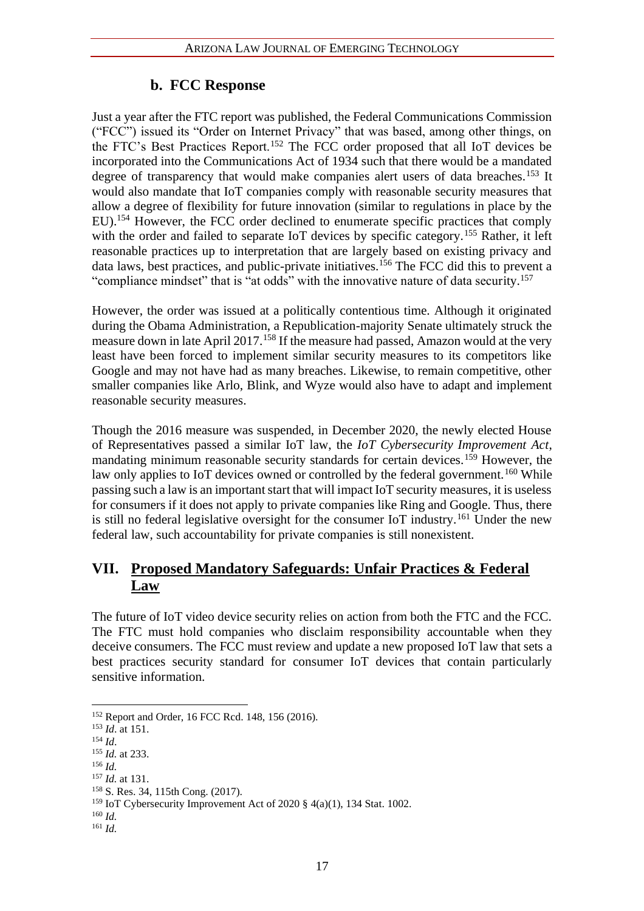#### **b. FCC Response**

Just a year after the FTC report was published, the Federal Communications Commission ("FCC") issued its "Order on Internet Privacy" that was based, among other things, on the FTC's Best Practices Report.<sup>152</sup> The FCC order proposed that all IoT devices be incorporated into the Communications Act of 1934 such that there would be a mandated degree of transparency that would make companies alert users of data breaches.<sup>153</sup> It would also mandate that IoT companies comply with reasonable security measures that allow a degree of flexibility for future innovation (similar to regulations in place by the EU).<sup>154</sup> However, the FCC order declined to enumerate specific practices that comply with the order and failed to separate IoT devices by specific category.<sup>155</sup> Rather, it left reasonable practices up to interpretation that are largely based on existing privacy and data laws, best practices, and public-private initiatives.<sup>156</sup> The FCC did this to prevent a "compliance mindset" that is "at odds" with the innovative nature of data security.<sup>157</sup>

However, the order was issued at a politically contentious time. Although it originated during the Obama Administration, a Republication-majority Senate ultimately struck the measure down in late April 2017.<sup>158</sup> If the measure had passed, Amazon would at the very least have been forced to implement similar security measures to its competitors like Google and may not have had as many breaches. Likewise, to remain competitive, other smaller companies like Arlo, Blink, and Wyze would also have to adapt and implement reasonable security measures.

Though the 2016 measure was suspended, in December 2020, the newly elected House of Representatives passed a similar IoT law, the *IoT Cybersecurity Improvement Act*, mandating minimum reasonable security standards for certain devices.<sup>159</sup> However, the law only applies to IoT devices owned or controlled by the federal government.<sup>160</sup> While passing such a law is an important start that will impact IoT security measures, it is useless for consumers if it does not apply to private companies like Ring and Google. Thus, there is still no federal legislative oversight for the consumer IoT industry.<sup>161</sup> Under the new federal law, such accountability for private companies is still nonexistent.

#### **VII. Proposed Mandatory Safeguards: Unfair Practices & Federal Law**

The future of IoT video device security relies on action from both the FTC and the FCC. The FTC must hold companies who disclaim responsibility accountable when they deceive consumers. The FCC must review and update a new proposed IoT law that sets a best practices security standard for consumer IoT devices that contain particularly sensitive information.

<sup>&</sup>lt;sup>152</sup> Report and Order, 16 FCC Rcd. 148, 156 (2016).

<sup>153</sup> *Id*. at 151.

<sup>154</sup> *Id*.

<sup>155</sup> *Id.* at 233.

<sup>156</sup> *Id.*

<sup>157</sup> *Id.* at 131.

<sup>158</sup> S. Res. 34, 115th Cong. (2017).

<sup>&</sup>lt;sup>159</sup> IoT Cybersecurity Improvement Act of 2020  $\S$  4(a)(1), 134 Stat. 1002.

<sup>160</sup> *Id.*

<sup>161</sup> *Id.*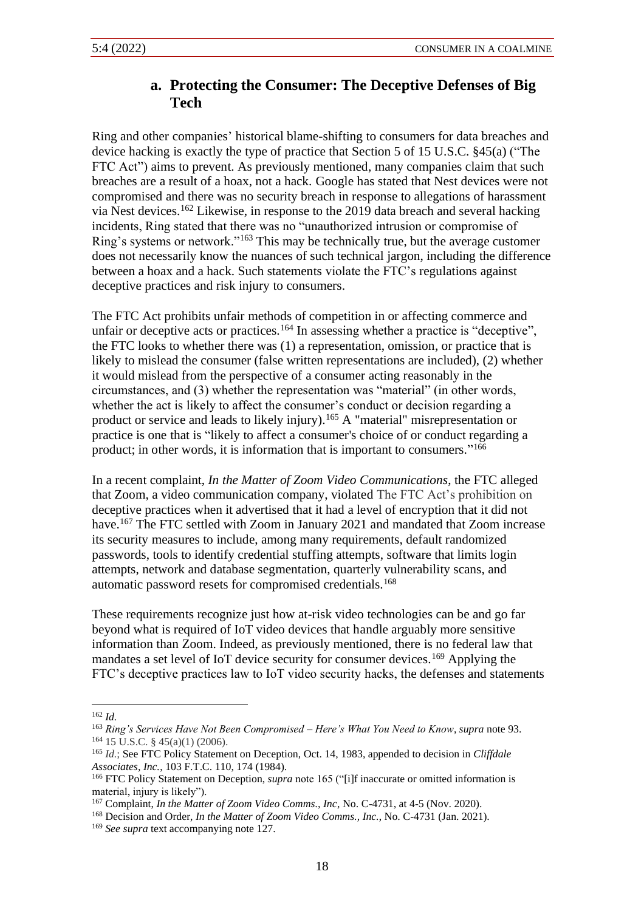#### **a. Protecting the Consumer: The Deceptive Defenses of Big Tech**

Ring and other companies' historical blame-shifting to consumers for data breaches and device hacking is exactly the type of practice that Section 5 of 15 U.S.C. §45(a) ("The FTC Act") aims to prevent. As previously mentioned, many companies claim that such breaches are a result of a hoax, not a hack. Google has stated that Nest devices were not compromised and there was no security breach in response to allegations of harassment via Nest devices.<sup>162</sup> Likewise, in response to the 2019 data breach and several hacking incidents, Ring stated that there was no "unauthorized intrusion or compromise of Ring's systems or network."<sup>163</sup> This may be technically true, but the average customer does not necessarily know the nuances of such technical jargon, including the difference between a hoax and a hack. Such statements violate the FTC's regulations against deceptive practices and risk injury to consumers.

The FTC Act prohibits unfair methods of competition in or affecting commerce and unfair or deceptive acts or practices.  $164$  In assessing whether a practice is "deceptive", the FTC looks to whether there was (1) a representation, omission, or practice that is likely to mislead the consumer (false written representations are included), (2) whether it would mislead from the perspective of a consumer acting reasonably in the circumstances, and (3) whether the representation was "material" (in other words, whether the act is likely to affect the consumer's conduct or decision regarding a product or service and leads to likely injury).<sup>165</sup> A "material" misrepresentation or practice is one that is "likely to affect a consumer's choice of or conduct regarding a product; in other words, it is information that is important to consumers."<sup>166</sup>

In a recent complaint, *In the Matter of Zoom Video Communications*, the FTC alleged that Zoom, a video communication company, violated The FTC Act's prohibition on deceptive practices when it advertised that it had a level of encryption that it did not have.<sup>167</sup> The FTC settled with Zoom in January 2021 and mandated that Zoom increase its security measures to include, among many requirements, default randomized passwords, tools to identify credential stuffing attempts, software that limits login attempts, network and database segmentation, quarterly vulnerability scans, and automatic password resets for compromised credentials.<sup>168</sup>

These requirements recognize just how at-risk video technologies can be and go far beyond what is required of IoT video devices that handle arguably more sensitive information than Zoom. Indeed, as previously mentioned, there is no federal law that mandates a set level of IoT device security for consumer devices.<sup>169</sup> Applying the FTC's deceptive practices law to IoT video security hacks, the defenses and statements

<sup>162</sup> *Id.*

<sup>163</sup> *Ring's Services Have Not Been Compromised – Here's What You Need to Know*, *supra* note 93.  $164$  15 U.S.C. § 45(a)(1) (2006).

<sup>165</sup> *Id.*; See FTC Policy Statement on Deception, Oct. 14, 1983, appended to decision in *Cliffdale Associates, Inc.*, 103 F.T.C. 110, 174 (1984).

<sup>&</sup>lt;sup>166</sup> FTC Policy Statement on Deception, *supra* note 165 ("[i]f inaccurate or omitted information is material, injury is likely").

<sup>167</sup> Complaint, *In the Matter of Zoom Video Comms., Inc*, No. C-4731, at 4-5 (Nov. 2020).

<sup>168</sup> Decision and Order, *In the Matter of Zoom Video Comms., Inc.*, No. C-4731 (Jan. 2021).

<sup>169</sup> *See supra* text accompanying note 127.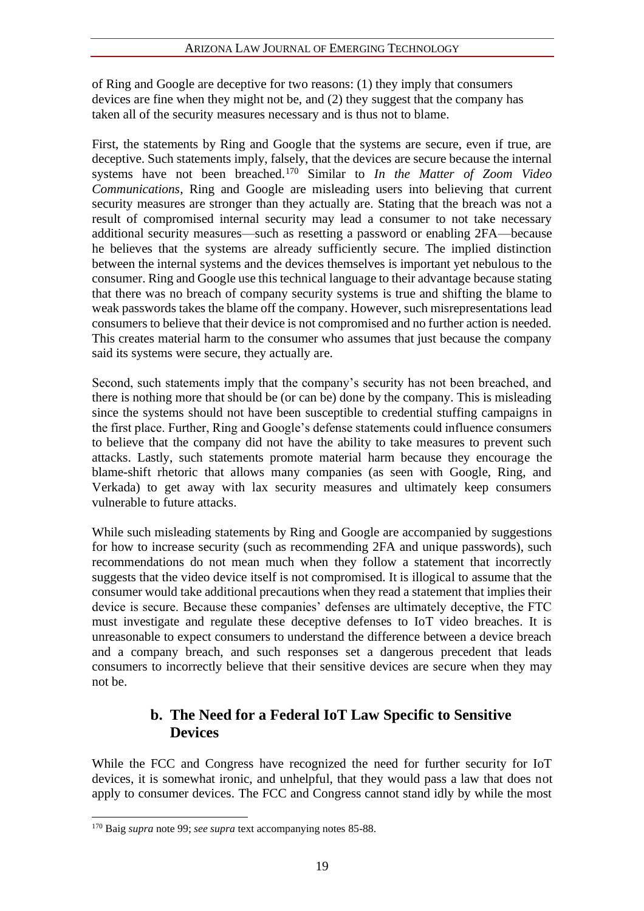of Ring and Google are deceptive for two reasons: (1) they imply that consumers devices are fine when they might not be, and (2) they suggest that the company has taken all of the security measures necessary and is thus not to blame.

First, the statements by Ring and Google that the systems are secure, even if true, are deceptive. Such statements imply, falsely, that the devices are secure because the internal systems have not been breached.<sup>170</sup> Similar to *In the Matter of Zoom Video Communications*, Ring and Google are misleading users into believing that current security measures are stronger than they actually are. Stating that the breach was not a result of compromised internal security may lead a consumer to not take necessary additional security measures—such as resetting a password or enabling 2FA—because he believes that the systems are already sufficiently secure. The implied distinction between the internal systems and the devices themselves is important yet nebulous to the consumer. Ring and Google use this technical language to their advantage because stating that there was no breach of company security systems is true and shifting the blame to weak passwords takes the blame off the company. However, such misrepresentations lead consumers to believe that their device is not compromised and no further action is needed. This creates material harm to the consumer who assumes that just because the company said its systems were secure, they actually are.

Second, such statements imply that the company's security has not been breached, and there is nothing more that should be (or can be) done by the company. This is misleading since the systems should not have been susceptible to credential stuffing campaigns in the first place. Further, Ring and Google's defense statements could influence consumers to believe that the company did not have the ability to take measures to prevent such attacks. Lastly, such statements promote material harm because they encourage the blame-shift rhetoric that allows many companies (as seen with Google, Ring, and Verkada) to get away with lax security measures and ultimately keep consumers vulnerable to future attacks.

While such misleading statements by Ring and Google are accompanied by suggestions for how to increase security (such as recommending 2FA and unique passwords), such recommendations do not mean much when they follow a statement that incorrectly suggests that the video device itself is not compromised. It is illogical to assume that the consumer would take additional precautions when they read a statement that implies their device is secure. Because these companies' defenses are ultimately deceptive, the FTC must investigate and regulate these deceptive defenses to IoT video breaches. It is unreasonable to expect consumers to understand the difference between a device breach and a company breach, and such responses set a dangerous precedent that leads consumers to incorrectly believe that their sensitive devices are secure when they may not be.

#### **b. The Need for a Federal IoT Law Specific to Sensitive Devices**

While the FCC and Congress have recognized the need for further security for IoT devices, it is somewhat ironic, and unhelpful, that they would pass a law that does not apply to consumer devices. The FCC and Congress cannot stand idly by while the most

<sup>170</sup> Baig *supra* note 99; *see supra* text accompanying notes 85-88.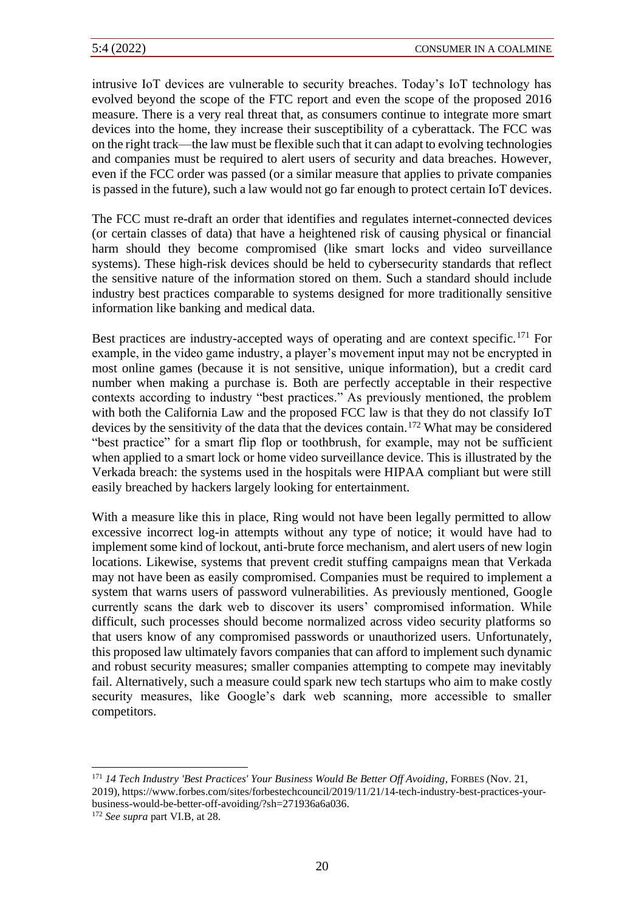intrusive IoT devices are vulnerable to security breaches. Today's IoT technology has evolved beyond the scope of the FTC report and even the scope of the proposed 2016 measure. There is a very real threat that, as consumers continue to integrate more smart devices into the home, they increase their susceptibility of a cyberattack. The FCC was on the right track—the law must be flexible such that it can adapt to evolving technologies and companies must be required to alert users of security and data breaches. However, even if the FCC order was passed (or a similar measure that applies to private companies is passed in the future), such a law would not go far enough to protect certain IoT devices.

The FCC must re-draft an order that identifies and regulates internet-connected devices (or certain classes of data) that have a heightened risk of causing physical or financial harm should they become compromised (like smart locks and video surveillance systems). These high-risk devices should be held to cybersecurity standards that reflect the sensitive nature of the information stored on them. Such a standard should include industry best practices comparable to systems designed for more traditionally sensitive information like banking and medical data.

Best practices are industry-accepted ways of operating and are context specific.<sup>171</sup> For example, in the video game industry, a player's movement input may not be encrypted in most online games (because it is not sensitive, unique information), but a credit card number when making a purchase is. Both are perfectly acceptable in their respective contexts according to industry "best practices." As previously mentioned, the problem with both the California Law and the proposed FCC law is that they do not classify IoT devices by the sensitivity of the data that the devices contain.<sup>172</sup> What may be considered "best practice" for a smart flip flop or toothbrush, for example, may not be sufficient when applied to a smart lock or home video surveillance device. This is illustrated by the Verkada breach: the systems used in the hospitals were HIPAA compliant but were still easily breached by hackers largely looking for entertainment.

With a measure like this in place, Ring would not have been legally permitted to allow excessive incorrect log-in attempts without any type of notice; it would have had to implement some kind of lockout, anti-brute force mechanism, and alert users of new login locations. Likewise, systems that prevent credit stuffing campaigns mean that Verkada may not have been as easily compromised. Companies must be required to implement a system that warns users of password vulnerabilities. As previously mentioned, Google currently scans the dark web to discover its users' compromised information. While difficult, such processes should become normalized across video security platforms so that users know of any compromised passwords or unauthorized users. Unfortunately, this proposed law ultimately favors companies that can afford to implement such dynamic and robust security measures; smaller companies attempting to compete may inevitably fail. Alternatively, such a measure could spark new tech startups who aim to make costly security measures, like Google's dark web scanning, more accessible to smaller competitors.

<sup>171</sup> *14 Tech Industry 'Best Practices' Your Business Would Be Better Off Avoiding*, FORBES (Nov. 21, 2019), https://www.forbes.com/sites/forbestechcouncil/2019/11/21/14-tech-industry-best-practices-yourbusiness-would-be-better-off-avoiding/?sh=271936a6a036.

<sup>172</sup> *See supra* part VI.B, at 28.